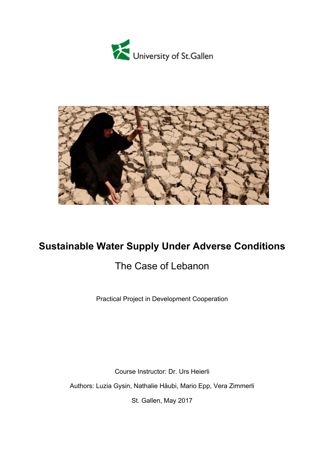



# **Sustainable Water Supply Under Adverse Conditions**

# The Case of Lebanon

Practical Project in Development Cooperation

Course Instructor: Dr. Urs Heierli Authors: Luzia Gysin, Nathalie Häubi, Mario Epp, Vera Zimmerli St. Gallen, May 2017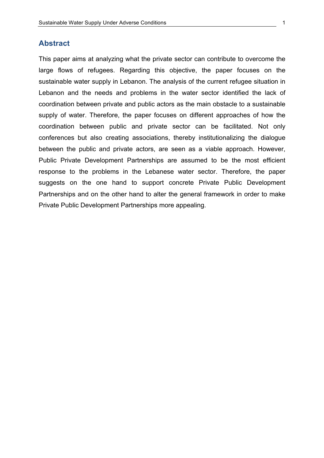#### **Abstract**

This paper aims at analyzing what the private sector can contribute to overcome the large flows of refugees. Regarding this objective, the paper focuses on the sustainable water supply in Lebanon. The analysis of the current refugee situation in Lebanon and the needs and problems in the water sector identified the lack of coordination between private and public actors as the main obstacle to a sustainable supply of water. Therefore, the paper focuses on different approaches of how the coordination between public and private sector can be facilitated. Not only conferences but also creating associations, thereby institutionalizing the dialogue between the public and private actors, are seen as a viable approach. However, Public Private Development Partnerships are assumed to be the most efficient response to the problems in the Lebanese water sector. Therefore, the paper suggests on the one hand to support concrete Private Public Development Partnerships and on the other hand to alter the general framework in order to make Private Public Development Partnerships more appealing.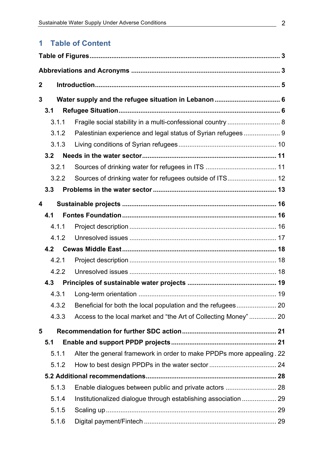## **1** Table of Content

| $\mathbf 2$ |              |                                                                       |  |  |
|-------------|--------------|-----------------------------------------------------------------------|--|--|
| 3           |              |                                                                       |  |  |
|             | 3.1          |                                                                       |  |  |
|             | 3.1.1        |                                                                       |  |  |
|             | 3.1.2        | Fragile social stability in a multi-confessional country  8           |  |  |
|             |              | Palestinian experience and legal status of Syrian refugees 9          |  |  |
|             | 3.1.3<br>3.2 |                                                                       |  |  |
|             |              |                                                                       |  |  |
|             | 3.2.1        |                                                                       |  |  |
|             | 3.2.2        |                                                                       |  |  |
|             | 3.3          |                                                                       |  |  |
| 4           |              |                                                                       |  |  |
|             | 4.1          |                                                                       |  |  |
|             | 4.1.1        |                                                                       |  |  |
|             | 4.1.2        |                                                                       |  |  |
|             | 4.2          |                                                                       |  |  |
|             | 4.2.1        |                                                                       |  |  |
|             | 4.2.2        |                                                                       |  |  |
|             | 4.3          |                                                                       |  |  |
|             |              |                                                                       |  |  |
|             | 4.3.2        |                                                                       |  |  |
|             | 4.3.3        | Access to the local market and "the Art of Collecting Money"  20      |  |  |
| 5           |              |                                                                       |  |  |
|             | 5.1          |                                                                       |  |  |
|             | 5.1.1        | Alter the general framework in order to make PPDPs more appealing. 22 |  |  |
|             | 5.1.2        |                                                                       |  |  |
|             |              |                                                                       |  |  |
|             | 5.1.3        |                                                                       |  |  |
|             | 5.1.4        | Institutionalized dialogue through establishing association  29       |  |  |
|             | 5.1.5        |                                                                       |  |  |
|             | 5.1.6        |                                                                       |  |  |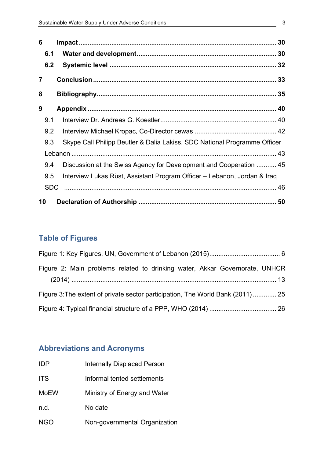| 6              |     |                                                                           |  |
|----------------|-----|---------------------------------------------------------------------------|--|
|                | 6.1 |                                                                           |  |
|                | 6.2 |                                                                           |  |
| $\overline{7}$ |     |                                                                           |  |
| 8              |     |                                                                           |  |
| 9              |     |                                                                           |  |
|                | 9.1 |                                                                           |  |
|                | 9.2 |                                                                           |  |
|                | 9.3 | Skype Call Philipp Beutler & Dalia Lakiss, SDC National Programme Officer |  |
|                |     |                                                                           |  |
|                | 9.4 | Discussion at the Swiss Agency for Development and Cooperation  45        |  |
|                | 9.5 | Interview Lukas Rüst, Assistant Program Officer - Lebanon, Jordan & Iraq  |  |
|                | SDC |                                                                           |  |
| 10             |     |                                                                           |  |

## **Table of Figures**

| Figure 2: Main problems related to drinking water, Akkar Governorate, UNHCR     |  |  |  |
|---------------------------------------------------------------------------------|--|--|--|
|                                                                                 |  |  |  |
| Figure 3: The extent of private sector participation, The World Bank (2011)  25 |  |  |  |
|                                                                                 |  |  |  |

## **Abbreviations and Acronyms**

| IDP.        | <b>Internally Displaced Person</b> |
|-------------|------------------------------------|
| <b>ITS</b>  | Informal tented settlements        |
| <b>MoEW</b> | Ministry of Energy and Water       |
| n.d.        | No date                            |
| NGO         | Non-governmental Organization      |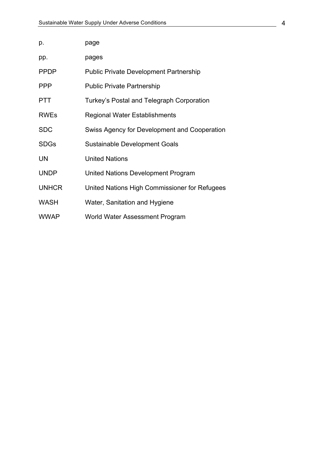| p.           | page                                          |
|--------------|-----------------------------------------------|
| pp.          | pages                                         |
| <b>PPDP</b>  | <b>Public Private Development Partnership</b> |
| <b>PPP</b>   | <b>Public Private Partnership</b>             |
| <b>PTT</b>   | Turkey's Postal and Telegraph Corporation     |
| <b>RWEs</b>  | <b>Regional Water Establishments</b>          |
| <b>SDC</b>   | Swiss Agency for Development and Cooperation  |
| <b>SDGs</b>  | <b>Sustainable Development Goals</b>          |
| <b>UN</b>    | <b>United Nations</b>                         |
| <b>UNDP</b>  | United Nations Development Program            |
| <b>UNHCR</b> | United Nations High Commissioner for Refugees |
| <b>WASH</b>  | Water, Sanitation and Hygiene                 |
| <b>WWAP</b>  | World Water Assessment Program                |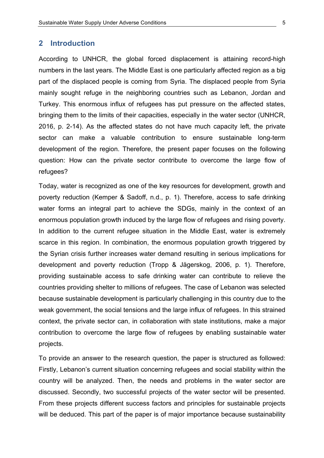### **2 Introduction**

According to UNHCR, the global forced displacement is attaining record-high numbers in the last years. The Middle East is one particularly affected region as a big part of the displaced people is coming from Syria. The displaced people from Syria mainly sought refuge in the neighboring countries such as Lebanon, Jordan and Turkey. This enormous influx of refugees has put pressure on the affected states, bringing them to the limits of their capacities, especially in the water sector (UNHCR, 2016, p. 2-14). As the affected states do not have much capacity left, the private sector can make a valuable contribution to ensure sustainable long-term development of the region. Therefore, the present paper focuses on the following question: How can the private sector contribute to overcome the large flow of refugees?

Today, water is recognized as one of the key resources for development, growth and poverty reduction (Kemper & Sadoff, n.d., p. 1). Therefore, access to safe drinking water forms an integral part to achieve the SDGs, mainly in the context of an enormous population growth induced by the large flow of refugees and rising poverty. In addition to the current refugee situation in the Middle East, water is extremely scarce in this region. In combination, the enormous population growth triggered by the Syrian crisis further increases water demand resulting in serious implications for development and poverty reduction (Tropp & Jägerskog, 2006, p. 1). Therefore, providing sustainable access to safe drinking water can contribute to relieve the countries providing shelter to millions of refugees. The case of Lebanon was selected because sustainable development is particularly challenging in this country due to the weak government, the social tensions and the large influx of refugees. In this strained context, the private sector can, in collaboration with state institutions, make a major contribution to overcome the large flow of refugees by enabling sustainable water projects.

To provide an answer to the research question, the paper is structured as followed: Firstly, Lebanon's current situation concerning refugees and social stability within the country will be analyzed. Then, the needs and problems in the water sector are discussed. Secondly, two successful projects of the water sector will be presented. From these projects different success factors and principles for sustainable projects will be deduced. This part of the paper is of major importance because sustainability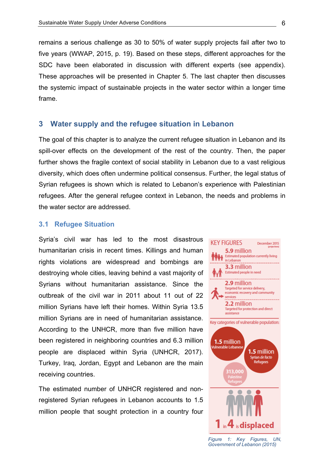remains a serious challenge as 30 to 50% of water supply projects fail after two to five years (WWAP, 2015, p. 19). Based on these steps, different approaches for the SDC have been elaborated in discussion with different experts (see appendix). These approaches will be presented in Chapter 5. The last chapter then discusses the systemic impact of sustainable projects in the water sector within a longer time frame.

### **3 Water supply and the refugee situation in Lebanon**

The goal of this chapter is to analyze the current refugee situation in Lebanon and its spill-over effects on the development of the rest of the country. Then, the paper further shows the fragile context of social stability in Lebanon due to a vast religious diversity, which does often undermine political consensus. Further, the legal status of Syrian refugees is shown which is related to Lebanon's experience with Palestinian refugees. After the general refugee context in Lebanon, the needs and problems in the water sector are addressed.

### **3.1 Refugee Situation**

Syria's civil war has led to the most disastrous humanitarian crisis in recent times. Killings and human rights violations are widespread and bombings are destroying whole cities, leaving behind a vast majority of Syrians without humanitarian assistance. Since the outbreak of the civil war in 2011 about 11 out of 22 million Syrians have left their homes. Within Syria 13.5 million Syrians are in need of humanitarian assistance. According to the UNHCR, more than five million have been registered in neighboring countries and 6.3 million people are displaced within Syria (UNHCR, 2017). Turkey, Iraq, Jordan, Egypt and Lebanon are the main receiving countries.

The estimated number of UNHCR registered and nonregistered Syrian refugees in Lebanon accounts to 1.5 million people that sought protection in a country four



*Figure* 1: Key Figures, UN, *Government'of'Lebanon'(2015)*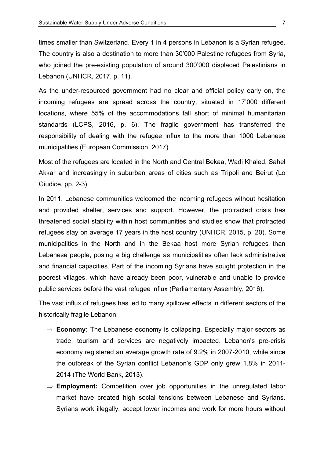times smaller than Switzerland. Every 1 in 4 persons in Lebanon is a Syrian refugee. The country is also a destination to more than 30'000 Palestine refugees from Syria, who joined the pre-existing population of around 300'000 displaced Palestinians in Lebanon (UNHCR, 2017, p. 11).

As the under-resourced government had no clear and official policy early on, the incoming refugees are spread across the country, situated in 17'000 different locations, where 55% of the accommodations fall short of minimal humanitarian standards (LCPS, 2016, p. 6). The fragile government has transferred the responsibility of dealing with the refugee influx to the more than 1000 Lebanese municipalities (European Commission, 2017).

Most of the refugees are located in the North and Central Bekaa, Wadi Khaled, Sahel Akkar and increasingly in suburban areas of cities such as Tripoli and Beirut (Lo Giudice,  $pp. 2-3$ ).

In 2011, Lebanese communities welcomed the incoming refugees without hesitation and provided shelter, services and support. However, the protracted crisis has threatened social stability within host communities and studies show that protracted refugees stay on average 17 years in the host country (UNHCR, 2015, p. 20). Some municipalities in the North and in the Bekaa host more Syrian refugees than Lebanese people, posing a big challenge as municipalities often lack administrative and financial capacities. Part of the incoming Syrians have sought protection in the poorest villages, which have already been poor, vulnerable and unable to provide public services before the vast refugee influx (Parliamentary Assembly, 2016).

The vast influx of refugees has led to many spillover effects in different sectors of the historically fragile Lebanon:

- $\Rightarrow$  **Economy:** The Lebanese economy is collapsing. Especially major sectors as trade, tourism and services are negatively impacted. Lebanon's pre-crisis economy registered an average growth rate of 9.2% in 2007-2010, while since the outbreak of the Syrian conflict Lebanon's GDP only grew 1.8% in 2011-2014 (The World Bank, 2013).
- $\Rightarrow$  **Employment:** Competition over job opportunities in the unregulated labor market have created high social tensions between Lebanese and Syrians. Syrians work illegally, accept lower incomes and work for more hours without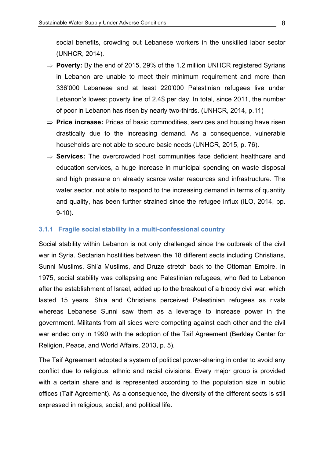social benefits, crowding out Lebanese workers in the unskilled labor sector (UNHCR, 2014).

- $\Rightarrow$  **Poverty:** By the end of 2015, 29% of the 1.2 million UNHCR registered Syrians in Lebanon are unable to meet their minimum requirement and more than 336'000 Lebanese and at least 220'000 Palestinian refugees live under Lebanon's lowest poverty line of 2.4\$ per day. In total, since 2011, the number of poor in Lebanon has risen by nearly two-thirds. (UNHCR, 2014, p.11)
- $\Rightarrow$  **Price increase:** Prices of basic commodities, services and housing have risen drastically due to the increasing demand. As a consequence, vulnerable households are not able to secure basic needs (UNHCR, 2015, p. 76).
- $\Rightarrow$  **Services:** The overcrowded host communities face deficient healthcare and education services, a huge increase in municipal spending on waste disposal and high pressure on already scarce water resources and infrastructure. The water sector, not able to respond to the increasing demand in terms of quantity and quality, has been further strained since the refugee influx (ILO, 2014, pp.  $9-10$ ).

### **3.1.1 Fragile social stability in a multi-confessional country**

Social stability within Lebanon is not only challenged since the outbreak of the civil war in Syria. Sectarian hostilities between the 18 different sects including Christians, Sunni Muslims, Shi'a Muslims, and Druze stretch back to the Ottoman Empire. In 1975, social stability was collapsing and Palestinian refugees, who fled to Lebanon after the establishment of Israel, added up to the breakout of a bloody civil war, which lasted 15 years. Shia and Christians perceived Palestinian refugees as rivals whereas Lebanese Sunni saw them as a leverage to increase power in the government. Militants from all sides were competing against each other and the civil war ended only in 1990 with the adoption of the Taif Agreement (Berkley Center for Religion, Peace, and World Affairs, 2013, p. 5).

The Taif Agreement adopted a system of political power-sharing in order to avoid any conflict due to religious, ethnic and racial divisions. Every major group is provided with a certain share and is represented according to the population size in public offices (Taif Agreement). As a consequence, the diversity of the different sects is still expressed in religious, social, and political life.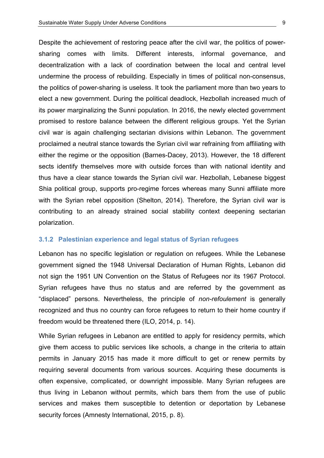Despite the achievement of restoring peace after the civil war, the politics of powersharing comes with limits. Different interests, informal governance, and decentralization with a lack of coordination between the local and central level undermine the process of rebuilding. Especially in times of political non-consensus, the politics of power-sharing is useless. It took the parliament more than two years to elect a new government. During the political deadlock, Hezbollah increased much of its power marginalizing the Sunni population. In 2016, the newly elected government promised to restore balance between the different religious groups. Yet the Syrian civil war is again challenging sectarian divisions within Lebanon. The government proclaimed a neutral stance towards the Syrian civil war refraining from affiliating with either the regime or the opposition (Barnes-Dacey, 2013). However, the 18 different sects identify themselves more with outside forces than with national identity and thus have a clear stance towards the Syrian civil war. Hezbollah, Lebanese biggest Shia political group, supports pro-regime forces whereas many Sunni affiliate more with the Syrian rebel opposition (Shelton, 2014). Therefore, the Syrian civil war is contributing to an already strained social stability context deepening sectarian polarization.

#### **3.1.2 Palestinian experience and legal status of Syrian refugees**

Lebanon has no specific legislation or regulation on refugees. While the Lebanese government signed the 1948 Universal Declaration of Human Rights, Lebanon did not sign the 1951 UN Convention on the Status of Refugees nor its 1967 Protocol. Syrian refugees have thus no status and are referred by the government as "displaced" persons. Nevertheless, the principle of *non-refoulement* is generally recognized and thus no country can force refugees to return to their home country if freedom would be threatened there (ILO, 2014, p. 14).

While Syrian refugees in Lebanon are entitled to apply for residency permits, which give them access to public services like schools, a change in the criteria to attain permits in January 2015 has made it more difficult to get or renew permits by requiring several documents from various sources. Acquiring these documents is often expensive, complicated, or downright impossible. Many Syrian refugees are thus living in Lebanon without permits, which bars them from the use of public services and makes them susceptible to detention or deportation by Lebanese security forces (Amnesty International, 2015, p. 8).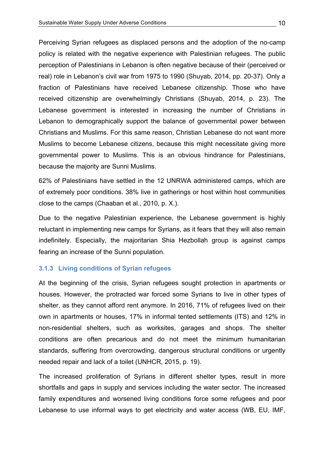Perceiving Syrian refugees as displaced persons and the adoption of the no-camp policy is related with the negative experience with Palestinian refugees. The public perception of Palestinians in Lebanon is often negative because of their (perceived or real) role in Lebanon's civil war from 1975 to 1990 (Shuyab, 2014, pp. 20-37). Only a fraction of Palestinians have received Lebanese citizenship. Those who have received citizenship are overwhelmingly Christians (Shuyab, 2014, p. 23). The Lebanese government is interested in increasing the number of Christians in Lebanon to demographically support the balance of governmental power between Christians and Muslims. For this same reason, Christian Lebanese do not want more Muslims to become Lebanese citizens, because this might necessitate giving more governmental power to Muslims. This is an obvious hindrance for Palestinians, because the majority are Sunni Muslims.

62% of Palestinians have settled in the 12 UNRWA administered camps, which are of extremely poor conditions. 38% live in gatherings or host within host communities close to the camps (Chaaban et al., 2010, p. X.).

Due to the negative Palestinian experience, the Lebanese government is highly reluctant in implementing new camps for Syrians, as it fears that they will also remain indefinitely. Especially, the majoritarian Shia Hezbollah group is against camps fearing an increase of the Sunni population.

#### **3.1.3 Living!conditions!of!Syrian!refugees**

At the beginning of the crisis, Syrian refugees sought protection in apartments or houses. However, the protracted war forced some Syrians to live in other types of shelter, as they cannot afford rent anymore. In 2016, 71% of refugees lived on their own in apartments or houses, 17% in informal tented settlements (ITS) and 12% in non-residential shelters, such as worksites, garages and shops. The shelter conditions are often precarious and do not meet the minimum humanitarian standards, suffering from overcrowding, dangerous structural conditions or urgently needed repair and lack of a toilet (UNHCR, 2015, p. 19).

The increased proliferation of Syrians in different shelter types, result in more shortfalls and gaps in supply and services including the water sector. The increased family expenditures and worsened living conditions force some refugees and poor Lebanese to use informal ways to get electricity and water access (WB, EU, IMF,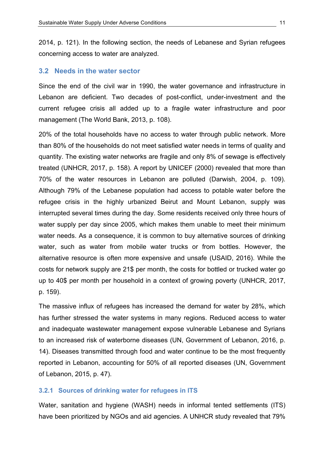2014, p. 121). In the following section, the needs of Lebanese and Syrian refugees concerning access to water are analyzed.

#### **3.2 Needs in the water sector**

Since the end of the civil war in 1990, the water governance and infrastructure in Lebanon are deficient. Two decades of post-conflict, under-investment and the current refugee crisis all added up to a fragile water infrastructure and poor management (The World Bank, 2013, p. 108).

20% of the total households have no access to water through public network. More than 80% of the households do not meet satisfied water needs in terms of quality and quantity. The existing water networks are fragile and only 8% of sewage is effectively treated (UNHCR, 2017, p. 158). A report by UNICEF (2000) revealed that more than 70% of the water resources in Lebanon are polluted (Darwish, 2004, p. 109). Although 79% of the Lebanese population had access to potable water before the refugee crisis in the highly urbanized Beirut and Mount Lebanon, supply was interrupted several times during the day. Some residents received only three hours of water supply per day since 2005, which makes them unable to meet their minimum water needs. As a consequence, it is common to buy alternative sources of drinking water, such as water from mobile water trucks or from bottles. However, the alternative resource is often more expensive and unsafe (USAID, 2016). While the costs for network supply are 21\$ per month, the costs for bottled or trucked water go up to 40\$ per month per household in a context of growing poverty (UNHCR, 2017, p. 159).

The massive influx of refugees has increased the demand for water by 28%, which has further stressed the water systems in many regions. Reduced access to water and inadequate wastewater management expose vulnerable Lebanese and Syrians to an increased risk of waterborne diseases (UN, Government of Lebanon, 2016, p. 14). Diseases transmitted through food and water continue to be the most frequently reported in Lebanon, accounting for 50% of all reported diseases (UN, Government of Lebanon, 2015, p. 47).

#### **3.2.1 Sources of drinking water for refugees in ITS**

Water, sanitation and hygiene (WASH) needs in informal tented settlements (ITS) have been prioritized by NGOs and aid agencies. A UNHCR study revealed that 79%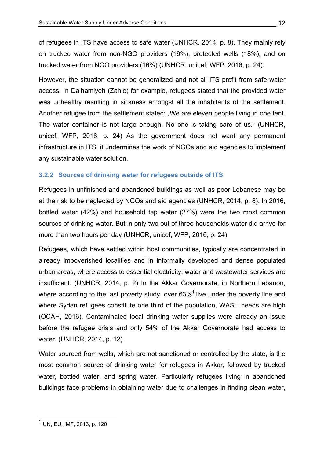of refugees in ITS have access to safe water (UNHCR, 2014, p. 8). They mainly rely on trucked water from non-NGO providers (19%), protected wells (18%), and on trucked water from NGO providers (16%) (UNHCR, unicef, WFP, 2016, p. 24).

However, the situation cannot be generalized and not all ITS profit from safe water access. In Dalhamiyeh (Zahle) for example, refugees stated that the provided water was unhealthy resulting in sickness amongst all the inhabitants of the settlement. Another refugee from the settlement stated: "We are eleven people living in one tent. The water container is not large enough. No one is taking care of us." (UNHCR, unicef,  $WFP$ ,  $2016$ , p.  $24$ ) As the government does not want any permanent infrastructure in ITS, it undermines the work of NGOs and aid agencies to implement any sustainable water solution.

### **3.2.2 Sources!of!drinking!water!for!refugees!outside of!ITS!!!**

Refugees in unfinished and abandoned buildings as well as poor Lebanese may be at the risk to be neglected by NGOs and aid agencies (UNHCR, 2014, p. 8). In 2016, bottled water  $(42%)$  and household tap water  $(27%)$  were the two most common sources of drinking water. But in only two out of three households water did arrive for more than two hours per day (UNHCR, unicef, WFP, 2016, p. 24)

Refugees, which have settled within host communities, typically are concentrated in already impoverished localities and in informally developed and dense populated urban areas, where access to essential electricity, water and wastewater services are insufficient. (UNHCR, 2014, p. 2) In the Akkar Governorate, in Northern Lebanon, where according to the last poverty study, over  $63\%$ <sup>1</sup> live under the poverty line and where Syrian refugees constitute one third of the population, WASH needs are high (OCAH, 2016). Contaminated local drinking water supplies were already an issue before the refugee crisis and only  $54\%$  of the Akkar Governorate had access to water. (UNHCR, 2014, p. 12)

Water sourced from wells, which are not sanctioned or controlled by the state, is the most common source of drinking water for refugees in Akkar, followed by trucked water, bottled water, and spring water. Particularly refugees living in abandoned buildings face problems in obtaining water due to challenges in finding clean water,

 $<sup>1</sup>$  UN, EU, IMF, 2013, p. 120</sup>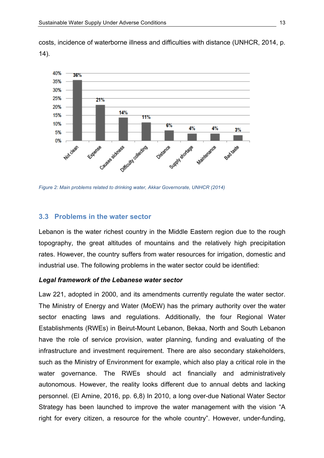costs, incidence of waterborne illness and difficulties with distance (UNHCR, 2014, p. 14).



Figure 2: Main problems related to drinking water, Akkar Governorate, UNHCR (2014)

#### **3.3 Problems in the water sector**

Lebanon is the water richest country in the Middle Eastern region due to the rough topography, the great altitudes of mountains and the relatively high precipitation rates. However, the country suffers from water resources for irrigation, domestic and industrial use. The following problems in the water sector could be identified:

#### Legal framework of the Lebanese water sector

Law 221, adopted in 2000, and its amendments currently regulate the water sector. The Ministry of Energy and Water (MoEW) has the primary authority over the water sector enacting laws and regulations. Additionally, the four Regional Water Establishments (RWEs) in Beirut-Mount Lebanon, Bekaa, North and South Lebanon have the role of service provision, water planning, funding and evaluating of the infrastructure and investment requirement. There are also secondary stakeholders, such as the Ministry of Environment for example, which also play a critical role in the water governance. The RWEs should act financially and administratively autonomous. However, the reality looks different due to annual debts and lacking personnel. (El Amine, 2016, pp. 6,8) In 2010, a long over-due National Water Sector Strategy has been launched to improve the water management with the vision "A right for every citizen, a resource for the whole country". However, under-funding,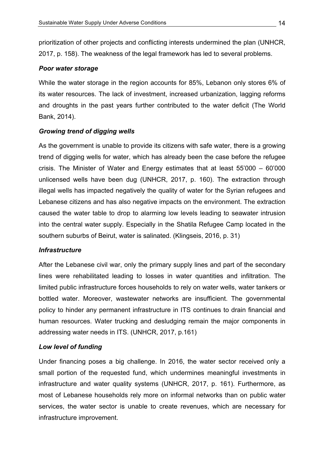prioritization of other projects and conflicting interests undermined the plan (UNHCR, 2017, p. 158). The weakness of the legal framework has led to several problems.

### **Poor water storage**

While the water storage in the region accounts for 85%, Lebanon only stores 6% of its water resources. The lack of investment, increased urbanization, lagging reforms and droughts in the past years further contributed to the water deficit (The World Bank, 2014).

### *Growing trend of digging wells*

As the government is unable to provide its citizens with safe water, there is a growing trend of digging wells for water, which has already been the case before the refugee crisis. The Minister of Water and Energy estimates that at least  $55'000 - 60'000$ unlicensed wells have been dug (UNHCR,  $2017$ , p. 160). The extraction through illegal wells has impacted negatively the quality of water for the Syrian refugees and Lebanese citizens and has also negative impacts on the environment. The extraction caused the water table to drop to alarming low levels leading to seawater intrusion into the central water supply. Especially in the Shatila Refugee Camp located in the southern suburbs of Beirut, water is salinated. (Klingseis, 2016, p. 31)

### *Infrastructure*

After the Lebanese civil war, only the primary supply lines and part of the secondary lines were rehabilitated leading to losses in water quantities and infiltration. The limited public infrastructure forces households to rely on water wells, water tankers or bottled water. Moreover, wastewater networks are insufficient. The governmental policy to hinder any permanent infrastructure in ITS continues to drain financial and human resources. Water trucking and desludging remain the major components in addressing water needs in ITS. (UNHCR, 2017, p.161)

### Low level of funding

Under financing poses a big challenge. In  $2016$ , the water sector received only a small portion of the requested fund, which undermines meaningful investments in infrastructure and water quality systems (UNHCR, 2017, p. 161). Furthermore, as most of Lebanese households rely more on informal networks than on public water services, the water sector is unable to create revenues, which are necessary for infrastructure improvement.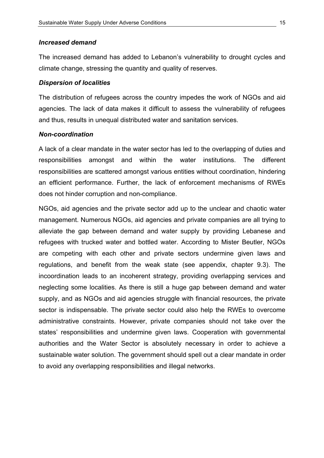#### *Increased&demand*

The increased demand has added to Lebanon's vulnerability to drought cycles and climate change, stressing the quantity and quality of reserves.

#### *Dispersion of localities*

The distribution of refugees across the country impedes the work of NGOs and aid agencies. The lack of data makes it difficult to assess the vulnerability of refugees and thus, results in unequal distributed water and sanitation services.

### *Non=coordination*

A lack of a clear mandate in the water sector has led to the overlapping of duties and responsibilities amongst and within the water institutions. The different responsibilities are scattered amongst various entities without coordination, hindering an efficient performance. Further, the lack of enforcement mechanisms of RWEs does not hinder corruption and non-compliance.

NGOs, aid agencies and the private sector add up to the unclear and chaotic water management. Numerous NGOs, aid agencies and private companies are all trying to alleviate the gap between demand and water supply by providing Lebanese and refugees with trucked water and bottled water. According to Mister Beutler, NGOs are competing with each other and private sectors undermine given laws and regulations, and benefit from the weak state (see appendix, chapter 9.3). The incoordination leads to an incoherent strategy, providing overlapping services and neglecting some localities. As there is still a huge gap between demand and water supply, and as NGOs and aid agencies struggle with financial resources, the private sector is indispensable. The private sector could also help the RWEs to overcome administrative constraints. However, private companies should not take over the states' responsibilities and undermine given laws. Cooperation with governmental authorities and the Water Sector is absolutely necessary in order to achieve a sustainable water solution. The government should spell out a clear mandate in order to avoid any overlapping responsibilities and illegal networks.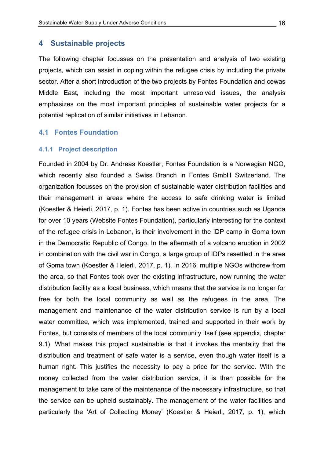### **4 Sustainable!projects!**

The following chapter focusses on the presentation and analysis of two existing projects, which can assist in coping within the refugee crisis by including the private sector. After a short introduction of the two projects by Fontes Foundation and cewas Middle East, including the most important unresolved issues, the analysis emphasizes on the most important principles of sustainable water projects for a potential replication of similar initiatives in Lebanon.

### **4.1 Fontes Foundation**

#### **4.1.1 Project description**

Founded in 2004 by Dr. Andreas Koestler, Fontes Foundation is a Norwegian NGO, which recently also founded a Swiss Branch in Fontes GmbH Switzerland. The organization focusses on the provision of sustainable water distribution facilities and their management in areas where the access to safe drinking water is limited (Koestler & Heierli, 2017, p. 1). Fontes has been active in countries such as Uganda for over 10 years (Website Fontes Foundation), particularly interesting for the context of the refugee crisis in Lebanon, is their involvement in the IDP camp in Goma town in the Democratic Republic of Congo. In the aftermath of a volcano eruption in 2002 in combination with the civil war in Congo, a large group of IDPs resettled in the area of Goma town (Koestler & Heierli, 2017, p. 1). In 2016, multiple NGOs withdrew from the area, so that Fontes took over the existing infrastructure, now running the water distribution facility as a local business, which means that the service is no longer for free for both the local community as well as the refugees in the area. The management and maintenance of the water distribution service is run by a local water committee, which was implemented, trained and supported in their work by Fontes, but consists of members of the local community itself (see appendix, chapter 9.1). What makes this project sustainable is that it invokes the mentality that the distribution and treatment of safe water is a service, even though water itself is a human right. This justifies the necessity to pay a price for the service. With the money collected from the water distribution service, it is then possible for the management to take care of the maintenance of the necessary infrastructure, so that the service can be upheld sustainably. The management of the water facilities and particularly the 'Art of Collecting Money' (Koestler & Heierli, 2017, p. 1), which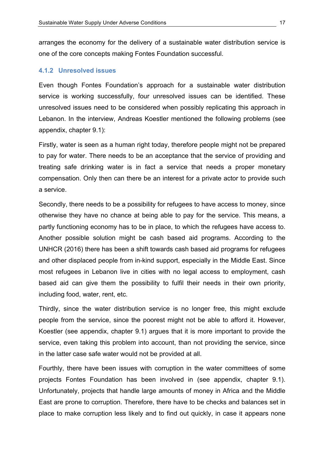arranges the economy for the delivery of a sustainable water distribution service is one of the core concepts making Fontes Foundation successful.

### **4.1.2 Unresolved issues**

Even though Fontes Foundation's approach for a sustainable water distribution service is working successfully, four unresolved issues can be identified. These unresolved issues need to be considered when possibly replicating this approach in Lebanon. In the interview, Andreas Koestler mentioned the following problems (see appendix, chapter  $9.1$ ):

Firstly, water is seen as a human right today, therefore people might not be prepared to pay for water. There needs to be an acceptance that the service of providing and treating safe drinking water is in fact a service that needs a proper monetary compensation. Only then can there be an interest for a private actor to provide such a service.

Secondly, there needs to be a possibility for refugees to have access to money, since otherwise they have no chance at being able to pay for the service. This means, a partly functioning economy has to be in place, to which the refugees have access to. Another possible solution might be cash based aid programs. According to the UNHCR (2016) there has been a shift towards cash based aid programs for refugees and other displaced people from in-kind support, especially in the Middle East. Since most refugees in Lebanon live in cities with no legal access to employment, cash based aid can give them the possibility to fulfil their needs in their own priority, including food, water, rent, etc.

Thirdly, since the water distribution service is no longer free, this might exclude people from the service, since the poorest might not be able to afford it. However, Koestler (see appendix, chapter  $9.1$ ) argues that it is more important to provide the service, even taking this problem into account, than not providing the service, since in the latter case safe water would not be provided at all.

Fourthly, there have been issues with corruption in the water committees of some projects Fontes Foundation has been involved in (see appendix, chapter 9.1). Unfortunately, projects that handle large amounts of money in Africa and the Middle East are prone to corruption. Therefore, there have to be checks and balances set in place to make corruption less likely and to find out quickly, in case it appears none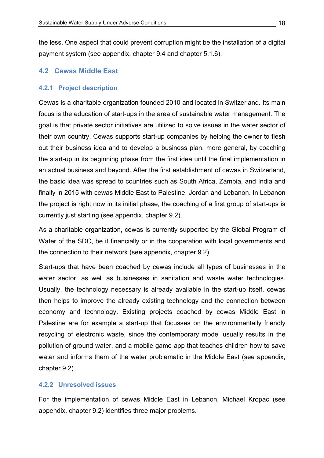the less. One aspect that could prevent corruption might be the installation of a digital payment system (see appendix, chapter 9.4 and chapter 5.1.6).

### **4.2 Cewas Middle!East**

#### **4.2.1 Project description**

Cewas is a charitable organization founded 2010 and located in Switzerland. Its main focus is the education of start-ups in the area of sustainable water management. The goal is that private sector initiatives are utilized to solve issues in the water sector of their own country. Cewas supports start-up companies by helping the owner to flesh out their business idea and to develop a business plan, more general, by coaching the start-up in its beginning phase from the first idea until the final implementation in an actual business and beyond. After the first establishment of cewas in Switzerland, the basic idea was spread to countries such as South Africa, Zambia, and India and finally in 2015 with cewas Middle East to Palestine, Jordan and Lebanon. In Lebanon the project is right now in its initial phase, the coaching of a first group of start-ups is currently just starting (see appendix, chapter 9.2).

As a charitable organization, cewas is currently supported by the Global Program of Water of the SDC, be it financially or in the cooperation with local governments and the connection to their network (see appendix, chapter 9.2).

Start-ups that have been coached by cewas include all types of businesses in the water sector, as well as businesses in sanitation and waste water technologies. Usually, the technology necessary is already available in the start-up itself, cewas then helps to improve the already existing technology and the connection between economy and technology. Existing projects coached by cewas Middle East in Palestine are for example a start-up that focusses on the environmentally friendly recycling of electronic waste, since the contemporary model usually results in the pollution of ground water, and a mobile game app that teaches children how to save water and informs them of the water problematic in the Middle East (see appendix, chapter  $9.2$ ).

### **4.2.2 Unresolved issues**

For the implementation of cewas Middle East in Lebanon, Michael Kropac (see appendix, chapter 9.2) identifies three major problems.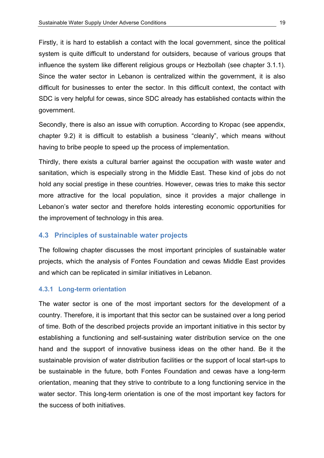Firstly, it is hard to establish a contact with the local government, since the political system is quite difficult to understand for outsiders, because of various groups that influence the system like different religious groups or Hezbollah (see chapter 3.1.1). Since the water sector in Lebanon is centralized within the government, it is also difficult for businesses to enter the sector. In this difficult context, the contact with SDC is very helpful for cewas, since SDC already has established contacts within the government.\$

Secondly, there is also an issue with corruption. According to Kropac (see appendix, chapter  $9.2$ ) it is difficult to establish a business "cleanly", which means without having to bribe people to speed up the process of implementation.

Thirdly, there exists a cultural barrier against the occupation with waste water and sanitation, which is especially strong in the Middle East. These kind of jobs do not hold any social prestige in these countries. However, cewas tries to make this sector more attractive for the local population, since it provides a major challenge in Lebanon's water sector and therefore holds interesting economic opportunities for the improvement of technology in this area.

### **4.3 Principles of sustainable water projects**

The following chapter discusses the most important principles of sustainable water projects, which the analysis of Fontes Foundation and cewas Middle East provides and which can be replicated in similar initiatives in Lebanon.

### **4.3.1 Long-term orientation**

The water sector is one of the most important sectors for the development of a country. Therefore, it is important that this sector can be sustained over a long period of time. Both of the described projects provide an important initiative in this sector by establishing a functioning and self-sustaining water distribution service on the one hand and the support of innovative business ideas on the other hand. Be it the sustainable provision of water distribution facilities or the support of local start-ups to be sustainable in the future, both Fontes Foundation and cewas have a long-term orientation, meaning that they strive to contribute to a long functioning service in the water sector. This long-term orientation is one of the most important key factors for the success of both initiatives.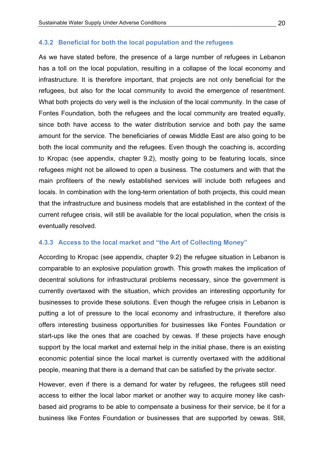#### 4.3.2 Beneficial for both the local population and the refugees

As we have stated before, the presence of a large number of refugees in Lebanon has a toll on the local population, resulting in a collapse of the local economy and infrastructure. It is therefore important, that projects are not only beneficial for the refugees, but also for the local community to avoid the emergence of resentment. What both projects do very well is the inclusion of the local community. In the case of Fontes Foundation, both the refugees and the local community are treated equally, since both have access to the water distribution service and both pay the same amount for the service. The beneficiaries of cewas Middle East are also going to be both the local community and the refugees. Even though the coaching is, according to Kropac (see appendix, chapter 9.2), mostly going to be featuring locals, since refugees might not be allowed to open a business. The costumers and with that the main profiteers of the newly established services will include both refugees and locals. In combination with the long-term orientation of both projects, this could mean that the infrastructure and business models that are established in the context of the current refugee crisis, will still be available for the local population, when the crisis is eventually resolved.

#### 4.3.3 Access to the local market and "the Art of Collecting Money"

According to Kropac (see appendix, chapter 9.2) the refugee situation in Lebanon is comparable to an explosive population growth. This growth makes the implication of decentral solutions for infrastructural problems necessary, since the government is currently overtaxed with the situation, which provides an interesting opportunity for businesses to provide these solutions. Even though the refugee crisis in Lebanon is putting a lot of pressure to the local economy and infrastructure, it therefore also offers interesting business opportunities for businesses like Fontes Foundation or start-ups like the ones that are coached by cewas. If these projects have enough support by the local market and external help in the initial phase, there is an existing economic potential since the local market is currently overtaxed with the additional people, meaning that there is a demand that can be satisfied by the private sector.

However, even if there is a demand for water by refugees, the refugees still need access to either the local labor market or another way to acquire money like cashbased aid programs to be able to compensate a business for their service, be it for a business like Fontes Foundation or businesses that are supported by cewas. Still,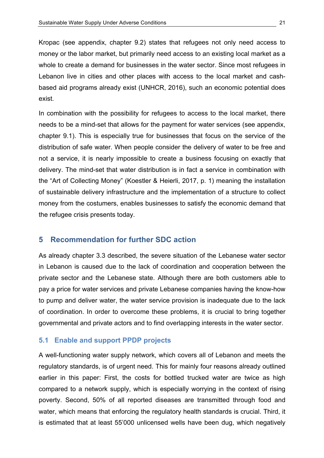Kropac (see appendix, chapter 9.2) states that refugees not only need access to money or the labor market, but primarily need access to an existing local market as a whole to create a demand for businesses in the water sector. Since most refugees in Lebanon live in cities and other places with access to the local market and cashbased aid programs already exist (UNHCR, 2016), such an economic potential does exist.

In combination with the possibility for refugees to access to the local market, there needs to be a mind-set that allows for the payment for water services (see appendix, chapter 9.1). This is especially true for businesses that focus on the service of the distribution of safe water. When people consider the delivery of water to be free and not a service, it is nearly impossible to create a business focusing on exactly that delivery. The mind-set that water distribution is in fact a service in combination with the "Art of Collecting Money" (Koestler & Heierli, 2017, p. 1) meaning the installation of sustainable delivery infrastructure and the implementation of a structure to collect money from the costumers, enables businesses to satisfy the economic demand that the refugee crisis presents today.

#### **Recommendation for further SDC action** 5

As already chapter 3.3 described, the severe situation of the Lebanese water sector in Lebanon is caused due to the lack of coordination and cooperation between the private sector and the Lebanese state. Although there are both customers able to pay a price for water services and private Lebanese companies having the know-how to pump and deliver water, the water service provision is inadequate due to the lack of coordination. In order to overcome these problems, it is crucial to bring together governmental and private actors and to find overlapping interests in the water sector.

#### $5.1$ **Enable and support PPDP projects**

A well-functioning water supply network, which covers all of Lebanon and meets the regulatory standards, is of urgent need. This for mainly four reasons already outlined earlier in this paper: First, the costs for bottled trucked water are twice as high compared to a network supply, which is especially worrying in the context of rising poverty. Second, 50% of all reported diseases are transmitted through food and water, which means that enforcing the regulatory health standards is crucial. Third, it is estimated that at least 55'000 unlicensed wells have been dug, which negatively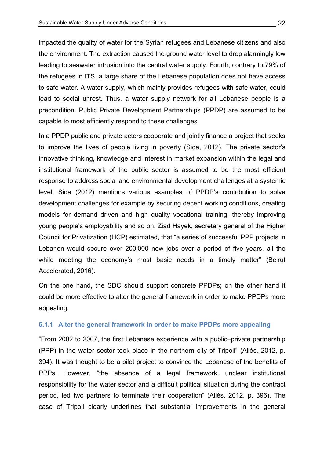impacted the quality of water for the Syrian refugees and Lebanese citizens and also the environment. The extraction caused the ground water level to drop alarmingly low leading to seawater intrusion into the central water supply. Fourth, contrary to 79% of the refugees in ITS, a large share of the Lebanese population does not have access to safe water. A water supply, which mainly provides refugees with safe water, could lead to social unrest. Thus, a water supply network for all Lebanese people is a precondition. Public Private Development Partnerships (PPDP) are assumed to be capable to most efficiently respond to these challenges.

In a PPDP public and private actors cooperate and jointly finance a project that seeks to improve the lives of people living in poverty (Sida, 2012). The private sector's innovative thinking, knowledge and interest in market expansion within the legal and institutional framework of the public sector is assumed to be the most efficient response to address social and environmental development challenges at a systemic level. Sida (2012) mentions various examples of PPDP's contribution to solve development challenges for example by securing decent working conditions, creating models for demand driven and high quality vocational training, thereby improving young people's employability and so on. Ziad Hayek, secretary general of the Higher Council for Privatization (HCP) estimated, that "a series of successful PPP projects in Lebanon would secure over 200'000 new jobs over a period of five vears, all the while meeting the economy's most basic needs in a timely matter" (Beirut Accelerated, 2016).

On the one hand, the SDC should support concrete PPDPs; on the other hand it could be more effective to alter the general framework in order to make PPDPs more appealing.

### **5.1.1 Alter the general framework in order to make PPDPs more appealing**

"From 2002 to 2007, the first Lebanese experience with a public–private partnership (PPP) in the water sector took place in the northern city of Tripoli" (Allès, 2012, p. 394). It was thought to be a pilot project to convince the Lebanese of the benefits of PPPs. However, "the absence of a legal framework, unclear institutional responsibility for the water sector and a difficult political situation during the contract period, led two partners to terminate their cooperation" (Allès, 2012, p. 396). The case of Tripoli clearly underlines that substantial improvements in the general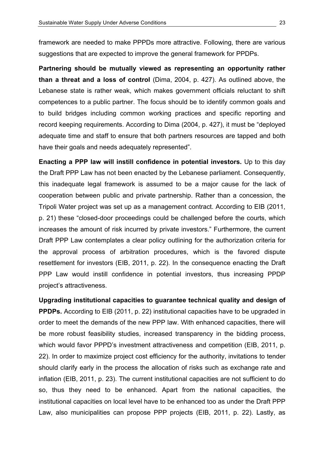framework are needed to make PPPDs more attractive. Following, there are various suggestions that are expected to improve the general framework for PPDPs.

Partnering should be mutually viewed as representing an opportunity rather than a threat and a loss of control (Dima, 2004, p. 427). As outlined above, the Lebanese state is rather weak, which makes government officials reluctant to shift competences to a public partner. The focus should be to identify common goals and to build bridges including common working practices and specific reporting and record keeping requirements. According to Dima (2004, p. 427), it must be "deployed adequate time and staff to ensure that both partners resources are tapped and both have their goals and needs adequately represented".

Enacting a PPP law will instill confidence in potential investors. Up to this day the Draft PPP Law has not been enacted by the Lebanese parliament. Consequently, this inadequate legal framework is assumed to be a major cause for the lack of cooperation between public and private partnership. Rather than a concession, the Tripoli Water project was set up as a management contract. According to EIB (2011, p. 21) these "closed-door proceedings could be challenged before the courts, which increases the amount of risk incurred by private investors." Furthermore, the current Draft PPP Law contemplates a clear policy outlining for the authorization criteria for the approval process of arbitration procedures, which is the favored dispute resettlement for investors (EIB, 2011, p. 22). In the consequence enacting the Draft PPP Law would instill confidence in potential investors, thus increasing PPDP project's attractiveness.

Upgrading institutional capacities to guarantee technical quality and design of **PPDPs.** According to EIB (2011, p. 22) institutional capacities have to be upgraded in order to meet the demands of the new PPP law. With enhanced capacities, there will be more robust feasibility studies, increased transparency in the bidding process, which would favor PPPD's investment attractiveness and competition (EIB, 2011, p. 22). In order to maximize project cost efficiency for the authority, invitations to tender should clarify early in the process the allocation of risks such as exchange rate and inflation (EIB, 2011, p. 23). The current institutional capacities are not sufficient to do so, thus they need to be enhanced. Apart from the national capacities, the institutional capacities on local level have to be enhanced too as under the Draft PPP Law, also municipalities can propose PPP projects (EIB, 2011, p. 22). Lastly, as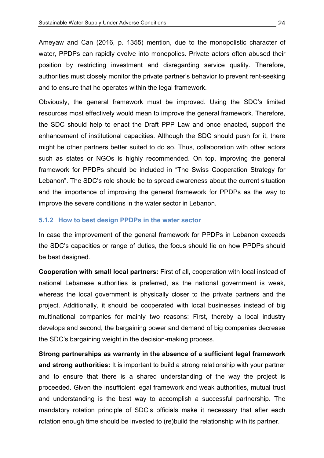Ameyaw and Can (2016, p. 1355) mention, due to the monopolistic character of water, PPDPs can rapidly evolve into monopolies. Private actors often abused their position by restricting investment and disregarding service quality. Therefore, authorities must closely monitor the private partner's behavior to prevent rent-seeking and to ensure that he operates within the legal framework.

Obviously, the general framework must be improved. Using the SDC's limited resources most effectively would mean to improve the general framework. Therefore, the SDC should help to enact the Draft PPP Law and once enacted, support the enhancement of institutional capacities. Although the SDC should push for it, there might be other partners better suited to do so. Thus, collaboration with other actors such as states or NGOs is highly recommended. On top, improving the general framework for PPDPs should be included in "The Swiss Cooperation Strategy for Lebanon". The SDC's role should be to spread awareness about the current situation and the importance of improving the general framework for PPDPs as the way to improve the severe conditions in the water sector in Lebanon.

#### **5.1.2 How to best design PPDPs in the water sector**

In case the improvement of the general framework for PPDPs in Lebanon exceeds the SDC's capacities or range of duties, the focus should lie on how PPDPs should be best designed.

**Cooperation with small local partners:** First of all, cooperation with local instead of national Lebanese authorities is preferred, as the national government is weak, whereas the local government is physically closer to the private partners and the project. Additionally, it should be cooperated with local businesses instead of big multinational companies for mainly two reasons: First, thereby a local industry develops and second, the bargaining power and demand of big companies decrease the SDC's bargaining weight in the decision-making process.

**Strong partnerships as warranty in the absence of a sufficient legal framework and strong authorities:** It is important to build a strong relationship with your partner and to ensure that there is a shared understanding of the way the project is proceeded. Given the insufficient legal framework and weak authorities, mutual trust and understanding is the best way to accomplish a successful partnership. The mandatory rotation principle of SDC's officials make it necessary that after each rotation enough time should be invested to (re)build the relationship with its partner.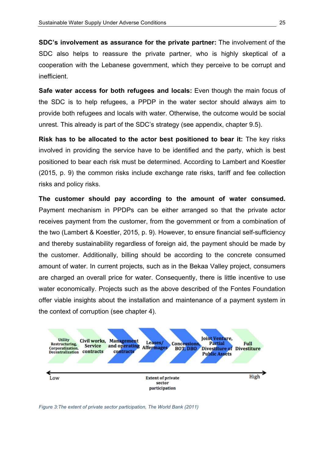**SDC's involvement as assurance for the private partner:** The involvement of the SDC also helps to reassure the private partner, who is highly skeptical of a cooperation with the Lebanese government, which they perceive to be corrupt and inefficient.

**Safe water access for both refugees and locals:** Even though the main focus of the SDC is to help refugees, a PPDP in the water sector should always aim to provide both refugees and locals with water. Otherwise, the outcome would be social unrest. This already is part of the SDC's strategy (see appendix, chapter 9.5).

**Risk has to be allocated to the actor best positioned to bear it:** The key risks involved in providing the service have to be identified and the party, which is best positioned to bear each risk must be determined. According to Lambert and Koestler  $(2015, p. 9)$  the common risks include exchange rate risks, tariff and fee collection risks and policy risks.

The customer should pay according to the amount of water consumed. Payment mechanism in PPDPs can be either arranged so that the private actor receives payment from the customer, from the government or from a combination of the two (Lambert & Koestler, 2015, p. 9). However, to ensure financial self-sufficiency and thereby sustainability regardless of foreign aid, the payment should be made by the customer. Additionally, billing should be according to the concrete consumed amount of water. In current projects, such as in the Bekaa Valley project, consumers are charged an overall price for water. Consequently, there is little incentive to use water economically. Projects such as the above described of the Fontes Foundation offer viable insights about the installation and maintenance of a payment system in the context of corruption (see chapter 4).



*Figure 3: The extent of private sector participation, The World Bank (2011)*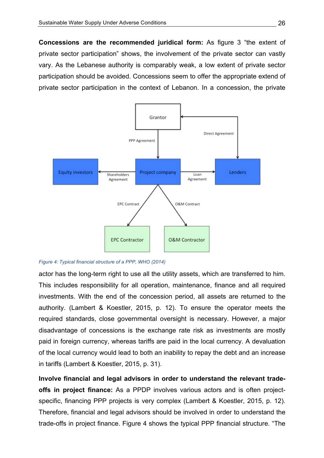**Concessions are the recommended juridical form:** As figure 3 "the extent of private sector participation" shows, the involvement of the private sector can vastly vary. As the Lebanese authority is comparably weak, a low extent of private sector participation should be avoided. Concessions seem to offer the appropriate extend of private sector participation in the context of Lebanon. In a concession, the private



Figure 4: Typical financial structure of a PPP, WHO (2014)

actor has the long-term right to use all the utility assets, which are transferred to him. This includes responsibility for all operation, maintenance, finance and all required investments. With the end of the concession period, all assets are returned to the authority. (Lambert & Koestler, 2015, p. 12). To ensure the operator meets the required standards, close governmental oversight is necessary. However, a major disadvantage of concessions is the exchange rate risk as investments are mostly paid in foreign currency, whereas tariffs are paid in the local currency. A devaluation of the local currency would lead to both an inability to repay the debt and an increase in tariffs (Lambert & Koestler, 2015, p. 31).

Involve financial and legal advisors in order to understand the relevant tradeoffs in project finance: As a PPDP involves various actors and is often projectspecific, financing PPP projects is very complex (Lambert & Koestler, 2015, p. 12). Therefore, financial and legal advisors should be involved in order to understand the trade-offs in project finance. Figure 4 shows the typical PPP financial structure. "The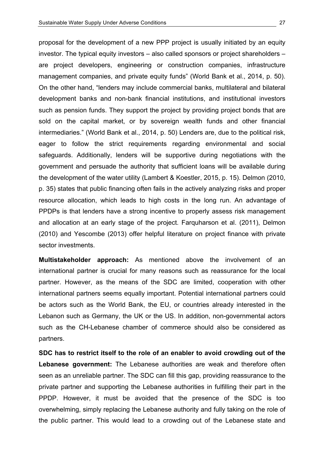proposal for the development of a new PPP project is usually initiated by an equity investor. The typical equity investors – also called sponsors or project shareholders – are project developers, engineering or construction companies, infrastructure management companies, and private equity funds" (World Bank et al., 2014, p. 50). On the other hand, "lenders may include commercial banks, multilateral and bilateral development banks and non-bank financial institutions, and institutional investors such as pension funds. They support the project by providing project bonds that are sold on the capital market, or by sovereign wealth funds and other financial intermediaries." (World Bank et al., 2014, p. 50) Lenders are, due to the political risk, eager to follow the strict requirements regarding environmental and social safeguards. Additionally, lenders will be supportive during negotiations with the government and persuade the authority that sufficient loans will be available during the development of the water utility (Lambert & Koestler, 2015, p. 15). Delmon (2010, p. 35) states that public financing often fails in the actively analyzing risks and proper resource allocation, which leads to high costs in the long run. An advantage of PPDPs is that lenders have a strong incentive to properly assess risk management and allocation at an early stage of the project. Farquharson et al. (2011), Delmon  $(2010)$  and Yescombe  $(2013)$  offer helpful literature on project finance with private sector investments.

**Multistakeholder approach:** As mentioned above the involvement of an international partner is crucial for many reasons such as reassurance for the local partner. However, as the means of the SDC are limited, cooperation with other international partners seems equally important. Potential international partners could be actors such as the World Bank, the EU, or countries already interested in the Lebanon such as Germany, the UK or the US. In addition, non-governmental actors such as the CH-Lebanese chamber of commerce should also be considered as partners.

**SDC** has to restrict itself to the role of an enabler to avoid crowding out of the **Lebanese government:** The Lebanese authorities are weak and therefore often seen as an unreliable partner. The SDC can fill this gap, providing reassurance to the private partner and supporting the Lebanese authorities in fulfilling their part in the PPDP. However, it must be avoided that the presence of the SDC is too overwhelming, simply replacing the Lebanese authority and fully taking on the role of the public partner. This would lead to a crowding out of the Lebanese state and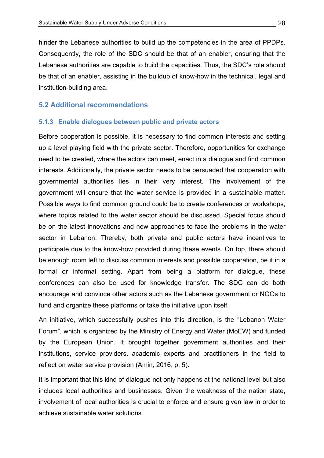hinder the Lebanese authorities to build up the competencies in the area of PPDPs. Consequently, the role of the SDC should be that of an enabler, ensuring that the Lebanese authorities are capable to build the capacities. Thus, the SDC's role should be that of an enabler, assisting in the buildup of know-how in the technical, legal and institution-building area.

### **5.2 Additional recommendations**

#### **5.1.3** Enable dialogues between public and private actors

Before cooperation is possible, it is necessary to find common interests and setting up a level playing field with the private sector. Therefore, opportunities for exchange need to be created, where the actors can meet, enact in a dialogue and find common interests. Additionally, the private sector needs to be persuaded that cooperation with governmental authorities lies in their very interest. The involvement of the government will ensure that the water service is provided in a sustainable matter. Possible ways to find common ground could be to create conferences or workshops, where topics related to the water sector should be discussed. Special focus should be on the latest innovations and new approaches to face the problems in the water sector in Lebanon. Thereby, both private and public actors have incentives to participate due to the know-how provided during these events. On top, there should be enough room left to discuss common interests and possible cooperation, be it in a formal or informal setting. Apart from being a platform for dialogue, these conferences can also be used for knowledge transfer. The SDC can do both encourage and convince other actors such as the Lebanese government or NGOs to fund and organize these platforms or take the initiative upon itself.

An initiative, which successfully pushes into this direction, is the "Lebanon Water Forum", which is organized by the Ministry of Energy and Water (MoEW) and funded by the European Union. It brought together government authorities and their institutions, service providers, academic experts and practitioners in the field to reflect on water service provision (Amin, 2016, p. 5).

It is important that this kind of dialogue not only happens at the national level but also includes local authorities and businesses. Given the weakness of the nation state, involvement of local authorities is crucial to enforce and ensure given law in order to achieve sustainable water solutions.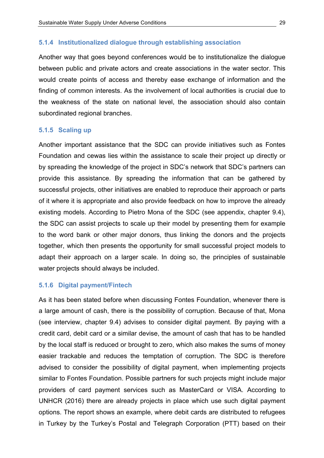#### 5.1.4 Institutionalized dialogue through establishing association

Another way that goes bevond conferences would be to institutionalize the dialogue between public and private actors and create associations in the water sector. This would create points of access and thereby ease exchange of information and the finding of common interests. As the involvement of local authorities is crucial due to the weakness of the state on national level, the association should also contain subordinated regional branches.

#### 5.1.5 Scaling up

Another important assistance that the SDC can provide initiatives such as Fontes Foundation and cewas lies within the assistance to scale their project up directly or by spreading the knowledge of the project in SDC's network that SDC's partners can provide this assistance. By spreading the information that can be gathered by successful projects, other initiatives are enabled to reproduce their approach or parts of it where it is appropriate and also provide feedback on how to improve the already existing models. According to Pietro Mona of the SDC (see appendix, chapter 9.4), the SDC can assist projects to scale up their model by presenting them for example to the word bank or other major donors, thus linking the donors and the projects together, which then presents the opportunity for small successful project models to adapt their approach on a larger scale. In doing so, the principles of sustainable water projects should always be included.

#### 5.1.6 Digital payment/Fintech

As it has been stated before when discussing Fontes Foundation, whenever there is a large amount of cash, there is the possibility of corruption. Because of that, Mona (see interview, chapter 9.4) advises to consider digital payment. By paying with a credit card, debit card or a similar devise, the amount of cash that has to be handled by the local staff is reduced or brought to zero, which also makes the sums of money easier trackable and reduces the temptation of corruption. The SDC is therefore advised to consider the possibility of digital payment, when implementing projects similar to Fontes Foundation. Possible partners for such projects might include major providers of card payment services such as MasterCard or VISA. According to UNHCR (2016) there are already projects in place which use such digital payment options. The report shows an example, where debit cards are distributed to refugees in Turkey by the Turkey's Postal and Telegraph Corporation (PTT) based on their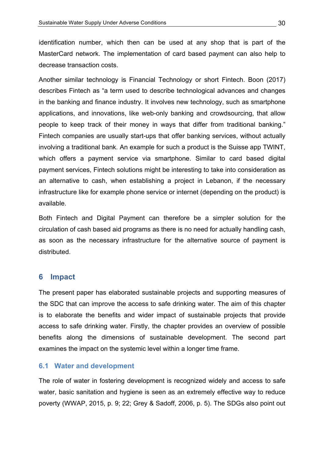identification number, which then can be used at any shop that is part of the MasterCard network. The implementation of card based payment can also help to decrease transaction costs.

Another similar technology is Financial Technology or short Fintech. Boon (2017) describes Fintech as "a term used to describe technological advances and changes in the banking and finance industry. It involves new technology, such as smartphone applications, and innovations, like web-only banking and crowdsourcing, that allow people to keep track of their money in ways that differ from traditional banking." Fintech companies are usually start-ups that offer banking services, without actually involving a traditional bank. An example for such a product is the Suisse app TWINT, which offers a payment service via smartphone. Similar to card based digital payment services, Fintech solutions might be interesting to take into consideration as an alternative to cash, when establishing a project in Lebanon, if the necessary infrastructure like for example phone service or internet (depending on the product) is available.

Both Fintech and Digital Payment can therefore be a simpler solution for the circulation of cash based aid programs as there is no need for actually handling cash, as soon as the necessary infrastructure for the alternative source of payment is distributed.

### **6 Impact**

The present paper has elaborated sustainable projects and supporting measures of the SDC that can improve the access to safe drinking water. The aim of this chapter is to elaborate the benefits and wider impact of sustainable projects that provide access to safe drinking water. Firstly, the chapter provides an overview of possible benefits along the dimensions of sustainable development. The second part examines the impact on the systemic level within a longer time frame.

### **6.1 Water and development**

The role of water in fostering development is recognized widely and access to safe water, basic sanitation and hygiene is seen as an extremely effective way to reduce poverty (WWAP, 2015, p. 9; 22; Grey & Sadoff, 2006, p. 5). The SDGs also point out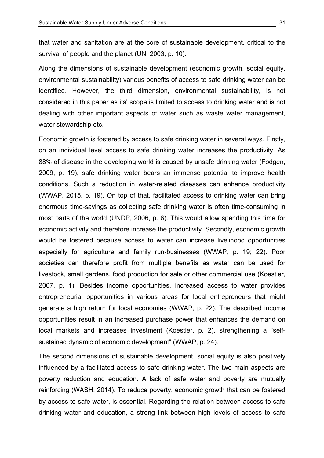that water and sanitation are at the core of sustainable development, critical to the survival of people and the planet (UN, 2003, p. 10).

Along the dimensions of sustainable development (economic growth, social equity, environmental sustainability) various benefits of access to safe drinking water can be identified. However, the third dimension, environmental sustainability, is not considered in this paper as its' scope is limited to access to drinking water and is not dealing with other important aspects of water such as waste water management, water stewardship etc.

Economic growth is fostered by access to safe drinking water in several ways. Firstly, on an individual level access to safe drinking water increases the productivity. As 88% of disease in the developing world is caused by unsafe drinking water (Fodgen, 2009, p. 19), safe drinking water bears an immense potential to improve health conditions. Such a reduction in water-related diseases can enhance productivity (WWAP, 2015, p. 19). On top of that, facilitated access to drinking water can bring enormous time-savings as collecting safe drinking water is often time-consuming in most parts of the world (UNDP, 2006, p.  $6$ ). This would allow spending this time for economic activity and therefore increase the productivity. Secondly, economic growth would be fostered because access to water can increase livelihood opportunities especially for agriculture and family run-businesses (WWAP, p. 19; 22). Poor societies can therefore profit from multiple benefits as water can be used for livestock, small gardens, food production for sale or other commercial use (Koestler, 2007, p. 1). Besides income opportunities, increased access to water provides entrepreneurial opportunities in various areas for local entrepreneurs that might generate a high return for local economies (WWAP, p. 22). The described income opportunities result in an increased purchase power that enhances the demand on local markets and increases investment (Koestler, p. 2), strengthening a "selfsustained dynamic of economic development" (WWAP, p. 24).

The second dimensions of sustainable development, social equity is also positively influenced by a facilitated access to safe drinking water. The two main aspects are poverty reduction and education. A lack of safe water and poverty are mutually reinforcing (WASH, 2014). To reduce poverty, economic growth that can be fostered by access to safe water, is essential. Regarding the relation between access to safe drinking water and education, a strong link between high levels of access to safe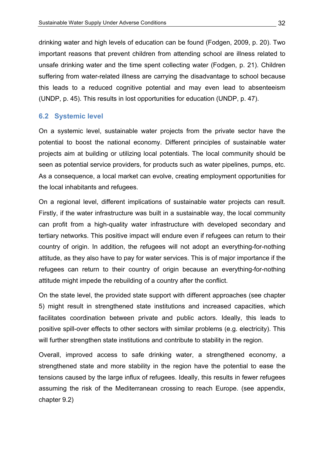drinking water and high levels of education can be found (Fodgen, 2009, p. 20). Two important reasons that prevent children from attending school are illness related to unsafe drinking water and the time spent collecting water (Fodgen, p. 21). Children suffering from water-related illness are carrying the disadvantage to school because this leads to a reduced cognitive potential and may even lead to absenteeism (UNDP, p. 45). This results in lost opportunities for education (UNDP, p. 47).

### **6.2 Systemic!level**

On a systemic level, sustainable water projects from the private sector have the potential to boost the national economy. Different principles of sustainable water projects aim at building or utilizing local potentials. The local community should be seen as potential service providers, for products such as water pipelines, pumps, etc. As a consequence, a local market can evolve, creating employment opportunities for the local inhabitants and refugees.

On a regional level, different implications of sustainable water projects can result. Firstly, if the water infrastructure was built in a sustainable way, the local community can profit from a high-quality water infrastructure with developed secondary and tertiary networks. This positive impact will endure even if refugees can return to their country of origin. In addition, the refugees will not adopt an everything-for-nothing attitude, as they also have to pay for water services. This is of major importance if the refugees can return to their country of origin because an everything-for-nothing attitude might impede the rebuilding of a country after the conflict.

On the state level, the provided state support with different approaches (see chapter 5) might result in strengthened state institutions and increased capacities, which facilitates coordination between private and public actors. Ideally, this leads to positive spill-over effects to other sectors with similar problems (e.g. electricity). This will further strengthen state institutions and contribute to stability in the region.

Overall, improved access to safe drinking water, a strengthened economy, a strengthened state and more stability in the region have the potential to ease the tensions caused by the large influx of refugees. Ideally, this results in fewer refugees assuming the risk of the Mediterranean crossing to reach Europe. (see appendix, chapter 9.2)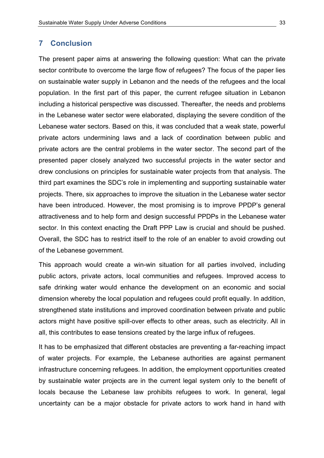### **7 Conclusion**

The present paper aims at answering the following question: What can the private sector contribute to overcome the large flow of refugees? The focus of the paper lies on sustainable water supply in Lebanon and the needs of the refugees and the local population. In the first part of this paper, the current refugee situation in Lebanon including a historical perspective was discussed. Thereafter, the needs and problems in the Lebanese water sector were elaborated, displaying the severe condition of the Lebanese water sectors. Based on this, it was concluded that a weak state, powerful private actors undermining laws and a lack of coordination between public and private actors are the central problems in the water sector. The second part of the presented paper closely analyzed two successful projects in the water sector and drew conclusions on principles for sustainable water projects from that analysis. The third part examines the SDC's role in implementing and supporting sustainable water projects. There, six approaches to improve the situation in the Lebanese water sector have been introduced. However, the most promising is to improve PPDP's general attractiveness and to help form and design successful PPDPs in the Lebanese water sector. In this context enacting the Draft PPP Law is crucial and should be pushed. Overall, the SDC has to restrict itself to the role of an enabler to avoid crowding out of the Lebanese government.

This approach would create a win-win situation for all parties involved, including public actors, private actors, local communities and refugees. Improved access to safe drinking water would enhance the development on an economic and social dimension whereby the local population and refugees could profit equally. In addition, strengthened state institutions and improved coordination between private and public actors might have positive spill-over effects to other areas, such as electricity. All in all, this contributes to ease tensions created by the large influx of refugees.

It has to be emphasized that different obstacles are preventing a far-reaching impact of water projects. For example, the Lebanese authorities are against permanent infrastructure concerning refugees. In addition, the employment opportunities created by sustainable water projects are in the current legal system only to the benefit of locals because the Lebanese law prohibits refugees to work. In general, legal uncertainty can be a major obstacle for private actors to work hand in hand with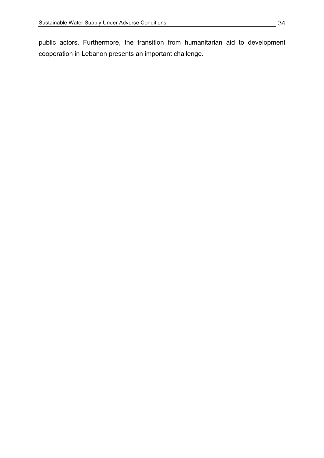public actors. Furthermore, the transition from humanitarian aid to development cooperation in Lebanon presents an important challenge.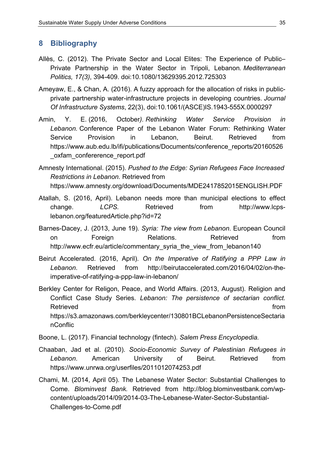### **8 Bibliography**

- Allès, C. (2012). The Private Sector and Local Elites: The Experience of Public– Private Partnership in the Water Sector in Tripoli, Lebanon. Mediterranean *Politics, 17(3), 394-409. doi:10.1080/13629395.2012.725303*
- Ameyaw, E., & Chan, A. (2016). A fuzzy approach for the allocation of risks in publicprivate partnership water-infrastructure projects in developing countries. *Journal Of Infrastructure Systems, 22(3), doi:10.1061/(ASCE)IS.1943-555X.0000297*
- Amin,\$ Y.\$ E. (2016,\$ October*). Rethinking' Water' Service' Provision' in'* Lebanon. Conference Paper of the Lebanon Water Forum: Rethinking Water Service Provision in Lebanon, Beirut. Retrieved from https://www.aub.edu.lb/ifi/publications/Documents/conference\_reports/20160526 \_oxfam\_confererence\_report.pdf
- Amnesty International. (2015). *Pushed to the Edge: Syrian Refugees Face Increased* **Restrictions in Lebanon. Retrieved from** https://www.amnesty.org/download/Documents/MDE2417852015ENGLISH.PDF
- Atallah, S. (2016, April). Lebanon needs more than municipal elections to effect change. *LCPS.* Retrieved from http://www.lcpslebanon.org/featuredArticle.php?id=72
- Barnes-Dacey, J. (2013, June 19). *Syria: The view from Lebanon*. European Council on **Foreign** Relations. Retrieved from http://www.ecfr.eu/article/commentary\_syria\_the\_view\_from\_lebanon140
- Beirut Accelerated. (2016, April). *On the Imperative of Ratifying a PPP Law in* Lebanon. Retrieved from http://beirutaccelerated.com/2016/04/02/on-theimperative-of-ratifying-a-ppp-law-in-lebanon/
- Berkley Center for Religon, Peace, and World Affairs. (2013, August). Religion and Conflict Case Study Series. Lebanon: The persistence of sectarian conflict. Retrieved **the contract of the contract of the contract of the contract of the contract of the contract of the contract of the contract of the contract of the contract of the contract of the contract of the contract of the** https://s3.amazonaws.com/berkleycenter/130801BCLebanonPersistenceSectaria nConflic
- Boone, L. (2017). Financial technology (fintech). Salem Press Encyclopedia.
- Chaaban,\$ Jad\$ et\$ al.\$ (2010).\$ *Socio?Economic' Survey' of' Palestinian' Refugees' in'* Lebanon. American University of Beirut. Retrieved from https://www.unrwa.org/userfiles/2011012074253.pdf
- Chami, M. (2014, April 05). The Lebanese Water Sector: Substantial Challenges to Come. Blominvest Bank. Retrieved from http://blog.blominvestbank.com/wpcontent/uploads/2014/09/2014-03-The-Lebanese-Water-Sector-Substantial-Challenges-to-Come.pdf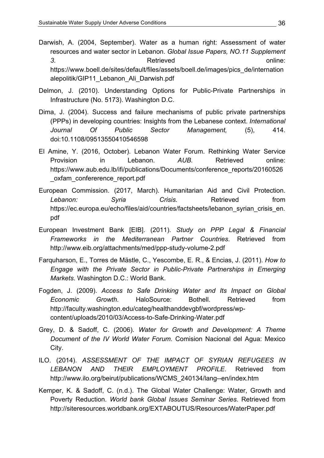- Darwish, A. (2004, September). Water as a human right: Assessment of water resources and water sector in Lebanon. *Global Issue Papers, NO.11 Supplement* 3. The contract of the Retrieved online:  $\blacksquare$  online: https://www.boell.de/sites/default/files/assets/boell.de/images/pics\_de/internation alepolitik/GIP11 Lebanon Ali Darwish.pdf
- Delmon, J. (2010). Understanding Options for Public-Private Partnerships in Infrastructure (No. 5173). Washington D.C.
- Dima, J. (2004). Success and failure mechanisms of public private partnerships (PPPs) in developing countries: Insights from the Lebanese context. *International* Journal Of Public Sector Management, (5), 414. doi:10.1108/09513550410546598
- El Amine, Y. (2016, October). Lebanon Water Forum. Rethinking Water Service Provision in Lebanon. *AUB*. Retrieved online: https://www.aub.edu.lb/ifi/publications/Documents/conference\_reports/20160526 \_oxfam\_confererence\_report.pdf
- European Commission. (2017, March). Humanitarian Aid and Civil Protection. **Lebanon:** Syria Crisis. Retrieved from https://ec.europa.eu/echo/files/aid/countries/factsheets/lebanon\_syrian\_crisis\_en. pdf
- European Investment Bank [EIB]. (2011). Study on PPP Legal & Financial Frameworks in the Mediterranean Partner Countries. Retrieved from http://www.eib.org/attachments/med/ppp-study-volume-2.pdf
- Farguharson, E., Torres de Mästle, C., Yescombe, E. R., & Encias, J. (2011). *How to Engage' with' the' Private' Sector' in' Public?Private' Partnerships' in' Emerging' Markets*. Washington D.C.: World Bank.
- Fogden,\$ J.\$ (2009).\$ *Access' to' Safe' Drinking' Water' and' Its' Impact' on' Global' Economic* Growth. HaloSource: Bothell. Retrieved from http://faculty.washington.edu/categ/healthanddevgbf/wordpress/wpcontent/uploads/2010/03/Access-to-Safe-Drinking-Water.pdf
- Grey, D. & Sadoff, C. (2006). Water for Growth and Development: A Theme *Document of the IV World Water Forum.* Comision Nacional del Agua: Mexico City.
- ILO. (2014). ASSESSMENT OF THE IMPACT OF SYRIAN REFUGEES IN *LEBANON' AND' THEIR' EMPLOYMENT' PROFILE*.\$ Retrieved\$ from http://www.ilo.org/beirut/publications/WCMS\_240134/lang--en/index.htm
- Kemper, K. & Sadoff, C. (n.d.). The Global Water Challenge: Water, Growth and Poverty Reduction. *World bank Global Issues Seminar Series*. Retrieved from http://siteresources.worldbank.org/EXTABOUTUS/Resources/WaterPaper.pdf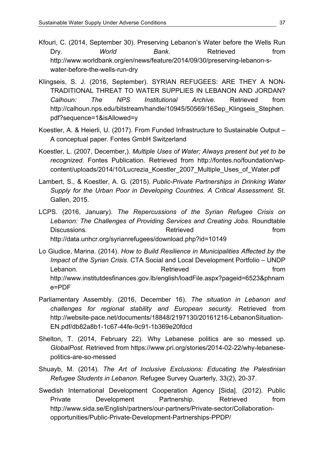- Kfouri, C. (2014, September 30). Preserving Lebanon's Water before the Wells Run Dry. *World* Bank. Retrieved from http://www.worldbank.org/en/news/feature/2014/09/30/preserving-lebanon-swater-before-the-wells-run-dry
- Klingseis, S. J. (2016, September). SYRIAN REFUGEES: ARE THEY A NON-TRADITIONAL THREAT TO WATER SUPPLIES IN LEBANON AND JORDAN? *Calhoun:' The' NPS' Institutional' Archive.'* Retrieved\$ from http://calhoun.nps.edu/bitstream/handle/10945/50569/16Sep Klingseis Stephen. pdf?sequence=1&isAllowed=y
- Koestler, A. & Heierli, U. (2017). From Funded Infrastructure to Sustainable Output A conceptual paper. Fontes GmbH Switzerland
- Koestler, L. (2007, December,). Multiple Uses of Water; Always present but yet to be recognized. Fontes Publication. Retrieved from http://fontes.no/foundation/wpcontent/uploads/2014/10/Lucrezia\_Koestler\_2007\_Multiple\_Uses\_of\_Water.pdf
- Lambert, S., & Koestler, A. G. (2015). *Public-Private Partnerships in Drinking Water* Supply for the Urban Poor in Developing Countries. A Critical Assessment. St. Gallen, 2015.
- LCPS.\$ (2016,\$ January). *The' Repercussions' of' the' Syrian' Refugee' Crisis' on'* Lebanon: The Challenges of Providing Services and Creating Jobs. Roundtable Discussions. The Retrieved **Retrieved example in the from the from the from the from the from the from the from the from the from the from the from the from the from the from the from the from the from the from the from** http://data.unhcr.org/syrianrefugees/download.php?id=10149
- Lo Giudice, Marina. (2014). *How to Build Resilience in Municipalities Affected by the Impact of the Syrian Crisis.* CTA Social and Local Development Portfolio – UNDP Lebanon. **Butter and Secure From Retrieved** *Retrieved new secure from from* http://www.institutdesfinances.gov.lb/english/loadFile.aspx?pageid=6523&phnam e=PDF
- Parliamentary Assembly. (2016, December 16). The situation in Lebanon and challenges for regional stability and European security. Retrieved from http://website-pace.net/documents/18848/2197130/20161216-LebanonSituation-EN.pdf/db82a8b1-1c67-44fe-9c91-1b369e20fdcd
- Shelton, T. (2014, February 22). Why Lebanese politics are so messed up. *GlobalPost.* Retrieved from https://www.pri.org/stories/2014-02-22/why-lebanesepolitics-are-so-messed
- Shuayb, M. (2014). The Art of Inclusive Exclusions: Educating the Palestinian *Refugee Students in Lebanon.* Refugee Survey Quarterly, 33(2), 20-37.
- Swedish International Development Cooperation Agency [Sida]. (2012). Public Private **Development** Partnership. Retrieved from http://www.sida.se/English/partners/our-partners/Private-sector/Collaborationopportunities/Public-Private-Development-Partnerships-PPDP/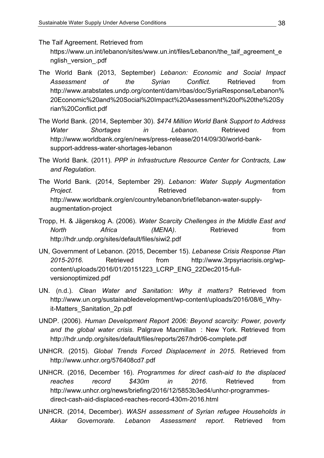The Taif Agreement. Retrieved from https://www.un.int/lebanon/sites/www.un.int/files/Lebanon/the\_taif\_agreement\_e nglish\_version\_.pdf

- The World Bank (2013, September) Lebanon: Economic and Social Impact Assessment of the Syrian Conflict. Retrieved from http://www.arabstates.undp.org/content/dam/rbas/doc/SyriaResponse/Lebanon% 20Economic%20and%20Social%20Impact%20Assessment%20of%20the%20Sy rian%20Conflict.pdf
- The World Bank. (2014, September 30). \$474 Million World Bank Support to Address Water Shortages in Lebanon. Retrieved from http://www.worldbank.org/en/news/press-release/2014/09/30/world-banksupport-address-water-shortages-lebanon
- The World Bank. (2011). *PPP in Infrastructure Resource Center for Contracts, Law and'Regulation.'*
- The\$ World\$ Bank.\$ (2014, September\$ 29). *Lebanon:' Water' Supply' Augmentation' Project.* **CONSISTENT Retrieved** *Project. from* http://www.worldbank.org/en/country/lebanon/brief/lebanon-water-supplyaugmentation-project
- Tropp, H. & Jägerskog A. (2006). Water Scarcity Chellenges in the Middle East and North
and *Africa*(*MENA*).
Retrieved
from
(*MENA*).
Retrieved  $\blacksquare$ http://hdr.undp.org/sites/default/files/siwi2.pdf
- UN, Government of Lebanon. (2015, December 15). *Lebanese Crisis Response Plan* 2015-2016. Retrieved from http://www.3rpsyriacrisis.org/wpcontent/uploads/2016/01/20151223 LCRP ENG 22Dec2015-fullversionoptimized.pdf
- UN. (n.d.). *Clean Water and Sanitation: Why it matters?* Retrieved from http://www.un.org/sustainabledevelopment/wp-content/uploads/2016/08/6\_Whyit-Matters Sanitation 2p.pdf
- UNDP. (2006). *Human Development Report 2006: Beyond scarcity: Power, poverty* and the global water *crisis*. Palgrave Macmillan : New York. Retrieved from http://hdr.undp.org/sites/default/files/reports/267/hdr06-complete.pdf
- UNHCR. (2015). Global Trends Forced Displacement in 2015. Retrieved from http://www.unhcr.org/576408cd7.pdf
- UNHCR. (2016, December 16). *Programmes for direct cash-aid to the displaced* reaches record \$430m in 2016. Retrieved from http://www.unhcr.org/news/briefing/2016/12/5853b3ed4/unhcr-programmesdirect-cash-aid-displaced-reaches-record-430m-2016.html
- UNHCR. (2014, December). *WASH' assessment' of' Syrian' refugee' Households' in'* Akkar Governorate. Lebanon Assessment report. Retrieved from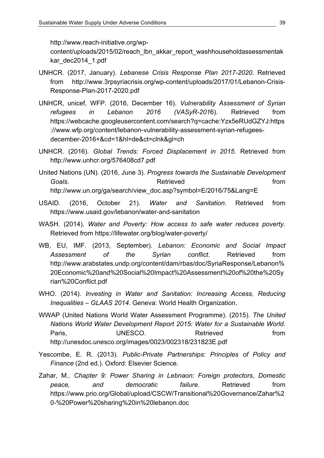http://www.reach-initiative.org/wp-

content/uploads/2015/02/reach\_lbn\_akkar\_report\_washhouseholdassessmentak kar\_dec2014\_1.pdf

- UNHCR. (2017, January). *Lebanese Crisis Response Plan 2017-2020*. Retrieved from http://www.3rpsyriacrisis.org/wp-content/uploads/2017/01/Lebanon-Crisis-Response-Plan-2017-2020.pdf
- UNHCR,\$ unicef,\$ WFP.\$ (2016, December\$ 16). *Vulnerability' Assessment' of' Syrian'* refugees in Lebanon 2016 (VASyR-2016). Retrieved from https://webcache.googleusercontent.com/search?q=cache:Yzx5eRUdGZYJ:https ://www.wfp.org/content/lebanon-vulnerability-assessment-syrian-refugeesdecember-2016+&cd=1&hl=de&ct=clnk&gl=ch
- UNHCR. (2016). Global Trends: Forced Displacement in 2015. Retrieved from http://www.unhcr.org/576408cd7.pdf
- United\$Nations\$(UN).\$(2016, June\$3).\$*Progress'towards'the'Sustainable'Development'* **Goals. Goals Goals Retrieved From** http://www.un.org/ga/search/view\_doc.asp?symbol=E/2016/75&Lang=E
- USAID. (2016, October\$ 21). *Water' and' Sanitation*.\$ Retrieved\$ from https://www.usaid.gov/lebanon/water-and-sanitation
- WASH. (2014). Water and Poverty: How access to safe water reduces poverty. Retrieved from https://lifewater.org/blog/water-poverty/
- WB, EU, IMF. (2013, September). Lebanon: Economic and Social Impact Assessment of the Syrian conflict. Retrieved from http://www.arabstates.undp.org/content/dam/rbas/doc/SyriaResponse/Lebanon% 20Economic%20and%20Social%20Impact%20Assessment%20of%20the%20Sy rian%20Conflict.pdf
- WHO. (2014). *Investing in Water and Sanitation: Increasing Access, Reducing Inequalities* – GLAAS 2014. Geneva: World Health Organization.
- WWAP (United Nations World Water Assessment Programme). (2015). The United *Nations' World'Water Development Report 2015: Water for a Sustainable World.* Paris, **Example 3 UNESCO.** Retrieved From http://unesdoc.unesco.org/images/0023/002318/231823E.pdf
- Yescombe, E. R. (2013). *Public-Private Partnerships: Principles of Policy and Finance* (2nd ed.). Oxford: Elsevier Science.
- Zahar,\$ M..\$ *Chapter' 9: Power' Sharing' in' Lebnaon:' Foreign' protectors,' Domestic' peace.* and democratic failure. Retrieved from https://www.prio.org/Global/upload/CSCW/Transitional%20Governance/Zahar%2 0-%20Power%20sharing%20in%20lebanon.doc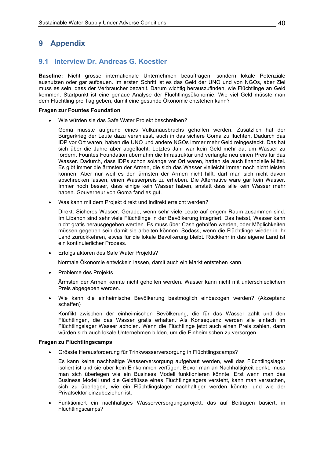## 9 Appendix

### 9.1 Interview Dr. Andreas G. Koestler

Baseline: Nicht grosse internationale Unternehmen beauftragen, sondern lokale Potenziale ausnutzen oder gar aufbauen. Im ersten Schritt ist es das Geld der UNO und von NGOs, aber Ziel muss es sein, dass der Verbraucher bezahlt. Darum wichtig herauszufinden, wie Flüchtlinge an Geld kommen. Startpunkt ist eine genaue Analyse der Flüchtlingsökonomie. Wie viel Geld müsste man dem Flüchtling pro Tag geben, damit eine gesunde Ökonomie entstehen kann?

#### **Fragen zur Fountes Foundation**

Wie würden sie das Safe Water Projekt beschreiben?

Goma musste aufgrund eines Vulkanausbruchs geholfen werden. Zusätzlich hat der Bürgerkrieg der Leute dazu veranlasst, auch in das sichere Goma zu flüchten. Dadurch das IDP vor Ort waren, haben die UNO und andere NGOs immer mehr Geld reingesteckt. Das hat sich über die Jahre aber abgeflacht: Letztes Jahr war kein Geld mehr da, um Wasser zu fördern. Fountes Foundation übernahm die Infrastruktur und verlangte neu einen Preis für das Wasser. Dadurch, dass IDPs schon solange vor Ort waren, hatten sie auch finanzielle Mittel. Es gibt immer die ärmsten der Armen, die sich das Wasser vielleicht immer noch nicht leisten können. Aber nur weil es den ärmsten der Armen nicht hilft, darf man sich nicht davon abschrecken lassen, einen Wasserpreis zu erheben. Die Alternative wäre gar kein Wasser. Immer noch besser, dass einige kein Wasser haben, anstatt dass alle kein Wasser mehr haben. Gouverneur von Goma fand es gut.

Was kann mit dem Projekt direkt und indirekt erreicht werden?

Direkt: Sicheres Wasser. Gerade, wenn sehr viele Leute auf engem Raum zusammen sind. Im Libanon sind sehr viele Flüchtlinge in der Bevölkerung integriert. Das heisst. Wasser kann nicht gratis herausgegeben werden. Es muss über Cash geholfen werden, oder Möglichkeiten müssen gegeben sein damit sie arbeiten können. Sodass, wenn die Flüchtlinge wieder in ihr Land zurückkehren, etwas für die lokale Bevölkerung bleibt. Rückkehr in das eigene Land ist ein kontinuierlicher Prozess.

• Erfolgsfaktoren des Safe Water Projekts?

Normale Ökonomie entwickeln lassen, damit auch ein Markt entstehen kann.

Probleme des Projekts  $\bullet$ 

> Ärmsten der Armen konnte nicht geholfen werden. Wasser kann nicht mit unterschiedlichem Preis abgegeben werden.

Wie kann die einheimische Bevölkerung bestmöglich einbezogen werden? (Akzeptanz schaffen)

Konflikt zwischen der einheimischen Bevölkerung, die für das Wasser zahlt und den Flüchtlingen, die das Wasser gratis erhalten. Als Konseguenz werden alle einfach im Flüchtlingslager Wasser abholen. Wenn die Flüchtlinge jetzt auch einen Preis zahlen, dann würden sich auch lokale Unternehmen bilden, um die Einheimischen zu versorgen.

#### Fragen zu Flüchtlingscamps

Grösste Herausforderung für Trinkwasserversorgung in Flüchtlingscamps?

Es kann keine nachhaltige Wasserversorgung aufgebaut werden, weil das Flüchtlingslager isoliert ist und sie über kein Einkommen verfügen. Bevor man an Nachhaltigkeit denkt, muss man sich überlegen wie ein Business Modell funktionieren könnte. Erst wenn man das Business Modell und die Geldflüsse eines Flüchtlingslagers versteht, kann man versuchen, sich zu überlegen, wie ein Flüchtlingslager nachhaltiger werden könnte, und wie der Privatsektor einzubeziehen ist.

Funktioniert ein nachhaltiges Wasserversorgungsprojekt, das auf Beiträgen basiert, in Flüchtlingscamps?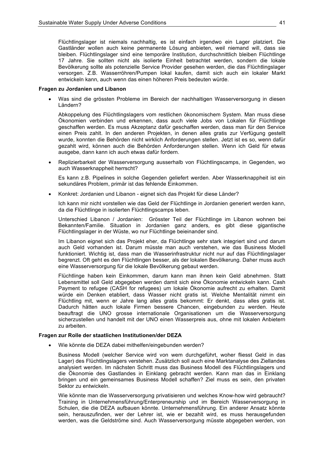Flüchtlingslager ist niemals nachhaltig, es ist einfach irgendwo ein Lager platziert. Die Gastländer wollen auch keine permanente Lösung anbieten, weil niemand will, dass sie bleiben. Flüchtlingslager sind eine temporäre Institution, durchschnittlich bleiben Flüchtlinge 17 Jahre. Sie sollten nicht als isolierte Einheit betrachtet werden, sondern die lokale Bevölkerung sollte als potenzielle Service Provider gesehen werden, die das Flüchtlingslager versorgen. Z.B. Wasserröhren/Pumpen lokal kaufen, damit sich auch ein lokaler Markt entwickeln kann, auch wenn das einen höheren Preis bedeuten würde.

#### Fragen zu Jordanien und Libanon

Was sind die grössten Probleme im Bereich der nachhaltigen Wasserversorgung in diesen Ländern?

Abkoppelung des Flüchtlingslagers vom restlichen ökonomischem System. Man muss diese Ökonomien verbinden und erkennen, dass auch viele Jobs von Lokalen für Flüchtlinge geschaffen werden. Es muss Akzeptanz dafür geschaffen werden, dass man für den Service einen Preis zahlt. In den anderen Projekten, in denen alles gratis zur Verfügung gestellt wurde, konnten die Behörden nicht wirklich Anforderungen stellen. Jetzt ist es so, wenn dafür gezahlt wird, können auch die Behörden Anforderungen stellen. Wenn ich Geld für etwas ausgebe, dann kann ich auch etwas dafür fordern.

Replizierbarkeit der Wasserversorgung ausserhalb von Flüchtlingscamps, in Gegenden, wo  $\bullet$ auch Wasserknappheit herrscht?

Es kann z.B. Pipelines in solche Gegenden geliefert werden. Aber Wasserknappheit ist ein sekundäres Problem, primär ist das fehlende Einkommen.

Konkret: Jordanien und Libanon - eignet sich das Projekt für diese Länder?

Ich kann mir nicht vorstellen wie das Geld der Flüchtlinge in Jordanien generiert werden kann, da die Flüchtlinge in isolierten Flüchtlingscamps leben.

Unterschied Libanon / Jordanien: Grösster Teil der Flüchtlinge im Libanon wohnen bei Bekannten/Familie. Situation in Jordanien ganz anders, es gibt diese gigantische Flüchtlingslager in der Wüste, wo nur Flüchtlinge beieinander sind.

Im Libanon eignet sich das Projekt eher, da Flüchtlinge sehr stark integriert sind und darum auch Geld vorhanden ist. Darum müsste man auch verstehen, wie das Business Modell funktioniert. Wichtig ist, dass man die Wasserinfrastruktur nicht nur auf das Flüchtlingslager begrenzt. Oft geht es den Flüchtlingen besser, als der lokalen Bevölkerung. Daher muss auch eine Wasserversorgung für die lokale Bevölkerung gebaut werden.

Flüchtlinge haben kein Einkommen, darum kann man ihnen kein Geld abnehmen. Statt Lebensmittel soll Geld abgegeben werden damit sich eine Ökonomie entwickeln kann. Cash Payment to refugee (CASH for refugees) um lokale Ökonomie aufrecht zu erhalten. Damit würde ein Denken etabliert, dass Wasser nicht gratis ist. Welche Mentalität nimmt ein Flüchtling mit, wenn er Jahre lang alles gratis bekommt: Er denkt, dass alles gratis ist. Dadurch hätten auch lokale Firmen bessere Chancen, eingebunden zu werden. Heute beauftragt die UNO grosse internationale Organisationen um die Wasserversorgung sicherzustellen und handelt mit der UNO einen Wasserpreis aus, ohne mit lokalen Anbietern zu arbeiten.

#### Fragen zur Rolle der staatlichen Institutionen/der DEZA

Wie könnte die DEZA dabei mithelfen/eingebunden werden?

Business Modell (welcher Service wird von wem durchgeführt, woher fliesst Geld in das Lager) des Flüchtlingslagers verstehen. Zusätzlich soll auch eine Marktanalyse des Ziellandes analysiert werden. Im nächsten Schritt muss das Business Modell des Flüchtlingslagers und die Ökonomie des Gastlandes in Einklang gebracht werden. Kann man das in Einklang bringen und ein gemeinsames Business Modell schaffen? Ziel muss es sein, den privaten Sektor zu entwickeln.

Wie könnte man die Wasserversorgung privatisieren und welches Know-how wird gebraucht? Training in Unternehmensführung/Enterpreneurship und im Bereich Wasserversorgung in Schulen, die die DEZA aufbauen könnte. Unternehmensführung. Ein anderer Ansatz könnte sein, herauszufinden, wer der Lehrer ist, wie er bezahlt wird, es muss herausgefunden werden, was die Geldströme sind. Auch Wasserversorgung müsste abgegeben werden, von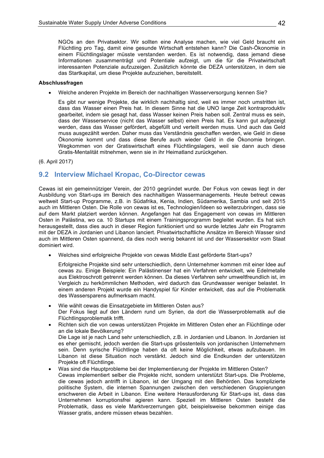NGOs an den Privatsektor. Wir sollten eine Analyse machen, wie viel Geld braucht ein Flüchtling pro Tag, damit eine gesunde Wirtschaft entstehen kann? Die Cash-Ökonomie in einem Flüchtlingslager müsste verstanden werden. Es ist notwendig, dass jemand diese Informationen zusammenträgt und Potentiale aufzeigt, um die für die Privatwirtschaft interessanten Potenziale aufzuzeigen. Zusätzlich könnte die DEZA unterstützen, in dem sie das Startkapital, um diese Projekte aufzuziehen, bereitstellt.

#### Abschlussfragen

Welche anderen Projekte im Bereich der nachhaltigen Wasserversorgung kennen Sie?

Es gibt nur wenige Projekte, die wirklich nachhaltig sind, weil es immer noch umstritten ist, dass das Wasser einen Preis hat. In diesem Sinne hat die UNO lange Zeit kontraproduktiv gearbeitet, indem sie gesagt hat, dass Wasser keinen Preis haben soll. Zentral muss es sein, dass der Wasserservice (nicht das Wasser selbst) einen Preis hat. Es kann gut aufgezeigt werden, dass das Wasser gefördert, abgefüllt und verteilt werden muss. Und auch das Geld muss ausgezählt werden. Daher muss das Verständnis geschaffen werden, wie Geld in diese Ökonomie kommt und dass diese Berufe auch wieder Geld in die Ökonomie bringen. Wegkommen von der Gratiswirtschaft eines Flüchtlingslagers, weil sie dann auch diese Gratis-Mentalität mitnehmen, wenn sie in ihr Heimatland zurückgehen.

(6. April 2017)

### 9.2 Interview Michael Kropac, Co-Director cewas

Cewas ist ein gemeinnütziger Verein, der 2010 gegründet wurde. Der Fokus von cewas liegt in der Ausbildung von Start-ups im Bereich des nachhaltigen Wassermanagements. Heute betreut cewas weltweit Start-up Programme, z.B. in Südafrika, Kenia, Indien, Südamerika, Sambia und seit 2015 auch im Mittleren Osten. Die Rolle von cewas ist es. Technologien/Ideen so weiterzubringen, dass sie auf dem Markt platziert werden können. Angefangen hat das Engagement von cewas im Mittleren Osten in Palästina, wo ca. 10 Startups mit einem Trainingsprogramm begleitet wurden. Es hat sich herausgestellt, dass dies auch in dieser Region funktioniert und so wurde letztes Jahr ein Programm mit der DEZA in Jordanien und Libanon lanciert. Privatwirtschaftliche Ansätze im Bereich Wasser sind auch im Mittleren Osten spannend, da dies noch wenig bekannt ist und der Wassersektor vom Staat dominiert wird.

Welches sind erfolgreiche Projekte von cewas Middle East geförderte Start-ups?

Erfolgreiche Projekte sind sehr unterschiedlich, denn Unternehmer kommen mit einer Idee auf cewas zu. Einige Beispiele: Ein Palästinenser hat ein Verfahren entwickelt, wie Edelmetalle aus Elektroschrott getrennt werden können. Da dieses Verfahren sehr umweltfreundlich ist, im Vergleich zu herkömmlichen Methoden, wird dadurch das Grundwasser weniger belastet. In einem anderen Projekt wurde ein Handyspiel für Kinder entwickelt, das auf die Problematik des Wassersparens aufmerksam macht.

- Wie wählt cewas die Einsatzgebiete im Mittleren Osten aus? Der Fokus liegt auf den Ländern rund um Syrien, da dort die Wasserproblematik auf die Flüchtlingsproblematik trifft.
- Richten sich die von cewas unterstützen Projekte im Mittleren Osten eher an Flüchtlinge oder an die lokale Bevölkerung? Die Lage ist ie nach Land sehr unterschiedlich, z.B. in Jordanien und Libanon. In Jordanien ist es eher gemischt, jedoch werden die Start-ups grösstenteils von jordanischen Unternehmern sein. Denn syrische Flüchtlinge haben da oft keine Möglichkeit, etwas aufzubauen. Im Libanon ist diese Situation noch verstärkt. Jedoch sind die Endkunden der unterstützen Projekte oft Flüchtlinge.
- Was sind die Hauptprobleme bei der Implementierung der Projekte im Mittleren Osten? Cewas implementiert selber die Projekte nicht, sondern unterstützt Start-ups. Die Probleme, die cewas jedoch antrifft in Libanon, ist der Umgang mit den Behörden. Das komplizierte politische System, die internen Spannungen zwischen den verschiedenen Gruppierungen erschweren die Arbeit in Libanon. Eine weitere Herausforderung für Start-ups ist, dass das Unternehmen korruptionsfrei agieren kann. Speziell im Mittleren Osten besteht die Problematik, dass es viele Marktverzerrungen gibt, beispielsweise bekommen einige das Wasser gratis, andere müssen etwas bezahlen.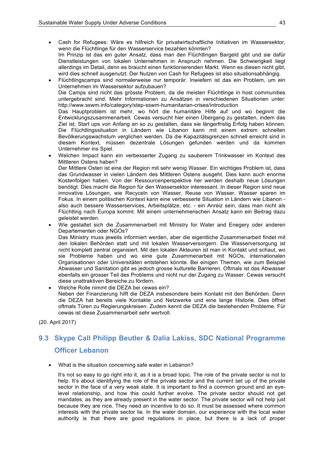- Cash for Refugees: Wäre es hilfreich für privatwirtschaftliche Initiativen im Wassersektor, wenn die Flüchtlinge für den Wasserservice bezahlen könnten? Im Prinzip ist das ein guter Ansatz, dass man den Flüchtlingen Bargeld gibt und sie dafür Dienstleistungen von lokalen Unternehmen in Anspruch nehmen. Die Schwierigkeit liegt allerdings im Detail, denn es braucht einen funktionierenden Markt. Wenn es diesen nicht gibt, wird dies schnell ausgenutzt. Der Nutzen von Cash for Refugees ist also situationsabhängig.
- Flüchtlingscamps sind normalerweise nur temporär. Inwiefern ist das ein Problem, um ein Unternehmen im Wassersektor aufzubauen? Die Camps sind nicht das grösste Problem, da die meisten Flüchtlinge in host communities untergebracht sind. Mehr Informationen zu Ansätzen in verschiedenen Situationen unter: http://www.sswm.info/category/step-sswm-humanitarian-crises/introduction Das Hauptproblem ist mehr, wo hört die humanitäre Hilfe auf und wo beginnt die Entwicklungszusammenarbeit. Cewas versucht hier einen Übergang zu gestalten, indem das Ziel ist, Start ups von Anfang an so zu gestalten, dass sie längerfristig Erfolg haben können. Die Flüchtlingssituation in Ländern wie Libanon kann mit einem extrem schnellen

Bevölkerungswachstum verglichen werden. Da die Kapazitätsgrenzen schnell erreicht sind in diesem Kontext, müssen dezentrale Lösungen gefunden werden und da kommen Unternehmer ins Spiel.

Welchen Impact kann ein verbesserter Zugang zu sauberem Trinkwasser im Kontext des Mittleren Ostens haben?

Der Mittlere Osten ist eine der Region mit sehr wenig Wasser. Ein wichtiges Problem ist, dass das Grundwasser in vielen Ländern des Mittleren Östens ausgeht. Dies kann auch enorme Kostenfolgen haben. Von der Ressourcenperspektive her werden deshalb neue Lösungen benötigt. Dies macht die Region für den Wassersektor interessant. In dieser Region sind neue innovative Lösungen, wie Recyceln von Wasser, Reuse von Wasser, Wasser sparen im Fokus. In einem politischen Kontext kann eine verbesserte Situation in Ländern wie Libanon also auch bessere Wasserservices, Arbeitsplätze, etc. - ein Anreiz sein, dass man nicht als Flüchtling nach Europa kommt. Mit einem unternehmerischen Ansatz kann ein Beitrag dazu geleistet werden.

Wie gestaltet sich die Zusammenarbeit mit Ministry for Water and Enegery oder anderen Departementen oder NGOs?

Das Ministry muss jeweils informiert werden, aber die eigentliche Zusammenarbeit findet mit den lokalen Behörden statt und mit lokalen Wasserversorgern. Die Wasserversorgung ist nicht komplett zentral organisiert. Mit den lokalen Akteuren ist man in Kontakt und schaut, wo sie Probleme haben und wo eine gute Zusammenarbeit mit NGOs, internationalen Organisationen oder Universitäten entstehen könnte. Bei einigen Themen, wie zum Beispiel Abwasser und Sanitation gibt es jedoch grosse kulturelle Barrieren. Oftmals ist das Abwasser ebenfalls ein grosser Teil des Problems und nicht nur der Zugang zu Wasser. Cewas versucht diese unattraktiven Bereiche zu fördern.

- Welche Rolle nimmt die DEZA bei cewas ein?
	- Neben der Finanzierung hilft die DEZA insbesondere beim Kontakt mit den Behörden. Denn die DEZA hat bereits viele Kontakte und Netzwerke und eine lange Historie. Dies öffnet oftmals Türen zu Regierungskreisen. Zudem kennt die DEZA die bestehenden Probleme. Für cewas ist diese Zusammenarbeit sehr wertvoll.

(20. April 2017)

## 9.3 Skype Call Philipp Beutler & Dalia Lakiss, SDC National Programme **Officer Lebanon**

What is the situation concerning safe water in Lebanon?

It's not so easy to go right into it, as it is a broad topic. The role of the private sector is not to help. It's about identifying the role of the private sector and the current set up of the private sector in the face of a very weak state. It is important to find a common ground and an eyelevel relationship, and how this could further evolve. The private sector should not get mandates, as they are already present in the water sector. The private sector will not help just because they are nice. They need an incentive to do so. It must be assessed where common interests with the private sector lie. In the water domain, our experience with the local water authority is that there are good regulations in place, but there is a lack of proper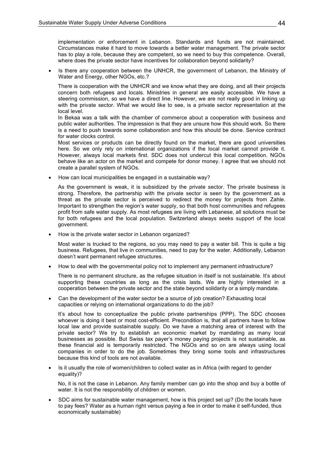implementation or enforcement in Lebanon. Standards and funds are not maintained. Circumstances make it hard to move towards a better water management. The private sector has to play a role, because they are competent, so we need to buy this competence. Overall, where does the private sector have incentives for collaboration beyond solidarity?

Is there any cooperation between the UNHCR, the government of Lebanon, the Ministry of Water and Energy, other NGOs, etc.?

There is cooperation with the UNHCR and we know what they are doing, and all their projects concern both refugees and locals. Ministries in general are easily accessible. We have a steering commission, so we have a direct line. However, we are not really good in linking up with the private sector. What we would like to see, is a private sector representation at the local level.

In Bekaa was a talk with the chamber of commerce about a cooperation with business and public water authorities. The impression is that they are unsure how this should work. So there is a need to push towards some collaboration and how this should be done. Service contract for water clocks control

Most services or products can be directly found on the market, there are good universities here. So we only rely on international organizations if the local market cannot provide it. However, always local markets first. SDC does not undercut this local competition. NGOs behave like an actor on the market and compete for donor money. I agree that we should not create a parallel system of NGOs.

• How can local municipalities be engaged in a sustainable way?

As the government is weak, it is subsidized by the private sector. The private business is strong. Therefore, the partnership with the private sector is seen by the government as a threat as the private sector is perceived to redirect the money for projects from Zahle.\$ Important to strengthen the region's water supply, so that both host communities and refugees profit from safe water supply. As most refugees are living with Lebanese, all solutions must be for both refugees and the local population. Switzerland always seeks support of the local government.

• How is the private water sector in Lebanon organized?

Most water is trucked to the regions, so you may need to pay a water bill. This is quite a big business. Refugees, that live in communities, need to pay for the water. Additionally, Lebanon doesn't want permanent refugee structures.

• How to deal with the governmental policy not to implement any permanent infrastructure?

There is no permanent structure, as the refugee situation in itself is not sustainable. It's about supporting these countries as long as the crisis lasts. We are highly interested in a cooperation between the private sector and the state beyond solidarity or a simply mandate.\$

Can the development of the water sector be a source of job creation? Exhausting local capacities or relying on international organizations to do the job?

It's about how to conceptualize the public private partnerships (PPP). The SDC chooses whoever is doing it best or most cost-efficient. Precondition is, that all partners have to follow local law and provide sustainable supply. Do we have a matching area of interest with the private sector? We try to establish an economic market by mandating as many local businesses as possible. But Swiss tax payer's money paying projects is not sustainable, as these financial aid is temporarily restricted. The NGOs and so on are always using local companies in order to do the job. Sometimes they bring some tools and infrastructures because this kind of tools are not available.

• Is it usually the role of women/children to collect water as in Africa (with regard to gender equality)?

No, it is not the case in Lebanon. Any family member can go into the shop and buy a bottle of water. It is not the responsbility of children or women.

SDC aims for sustainable water management, how is this project set up? (Do the locals have to pay fees? Water as a human right versus paying a fee in order to make it self-funded, thus economically sustainable)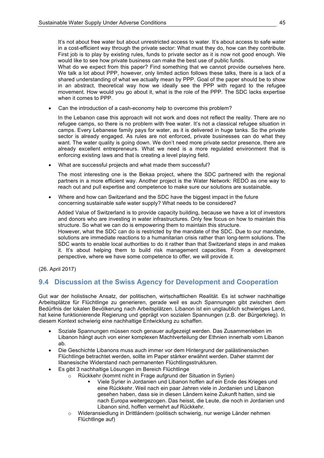It's not about free water but about unrestricted access to water. It's about access to safe water in a cost-efficient way through the private sector: What must they do, how can they contribute. First job is to play by existing rules, funds to private sector as it is now not good enough. We would like to see how private business can make the best use of public funds.

What do we expect from this paper? Find something that we cannot provide ourselves here. We talk a lot about PPP, however, only limited action follows these talks, there is a lack of a shared understanding of what we actually mean by PPP. Goal of the paper should be to show in an abstract, theoretical way how we ideally see the PPP with regard to the refugee movement. How would you go about it, what is the role of the PPP. The SDC lacks expertise when it comes to PPP.

Can the introduction of a cash-economy help to overcome this problem?

In the Lebanon case this approach will not work and does not reflect the reality. There are no refugee camps, so there is no problem with free water. It's not a classical refugee situation in camps. Every Lebanese family pays for water, as it is delivered in huge tanks. So the private sector is already engaged. As rules are not enforced, private businesses can do what they want. The water quality is going down. We don't need more private sector presence, there are already excellent entrepreneurs. What we need is a more regulated environment that is enforcing existing laws and that is creating a level playing field.

• What are successful projects and what made them successful?

The most interesting one is the Bekaa project, where the SDC partnered with the regional partners in a more efficient way. Another project is the Water Network: REDO as one way to reach out and pull expertise and competence to make sure our solutions are sustainable.

• Where and how can Switzerland and the SDC have the biggest impact in the future concerning sustainable safe water supply? What needs to be considered?

Added Value of Switzerland is to provide capacity building, because we have a lot of investors and donors who are investing in water infrastructures. Only few focus on how to maintain this structure. So what we can do is empowering them to maintain this structure.

However, what the SDC can do is restricted by the mandate of the SDC. Due to our mandate, solutions are immediate reactions to a humanitarian crisis rather than long-term solutions. The SDC wants to enable local authorities to do it rather than that Switzerland steps in and makes it. It's about helping them to build risk management capacities. From a development perspective, where we have some competence to offer, we will provide it.

(26. April 2017)

### **9.4 Discussion at the Swiss Agency for Development and Cooperation**

Gut war der holistische Ansatz, der politischen, wirtschaftlichen Realität. Es ist schwer nachhaltige Arbeitsplätze für Flüchtlinge zu generieren, gerade weil es auch Spannungen gibt zwischen dem Bedürfnis der lokalen Bevölkerung nach Arbeitsplätzen. Libanon ist ein unglaublich schwieriges Land, hat keine funktionierende Regierung und geprägt von sozialen Spannungen (z.B. der Bürgerkrieg). In diesem Kontext schwierig eine nachhaltige Entwicklung zu schaffen.

- Soziale Spannungen müssen noch genauer aufgezeigt werden. Das Zusammenleben im Libanon hängt auch von einer komplexen Machtverteilung der Ethnien innerhalb vom Libanon ab.
- Die Geschichte Libanons muss auch immer vor dem Hintergrund der palästinensischen Flüchtlinge betrachtet werden, sollte im Paper stärker erwähnt werden. Daher stammt der libanesische Widerstand nach permanenten Flüchtlingsstrukturen.
- Es gibt 3 nachhaltige Lösungen im Bereich Flüchtlinge
	- $\circ$  Rückkehr (kommt nicht in Frage aufgrund der Situation in Syrien)
		- Viele Syrier in Jordanien und Libanon hoffen auf ein Ende des Krieges und eine Rückkehr. Weil nach ein paar Jahren viele in Jordanien und Libanon gesehen haben, dass sie in diesen Ländern keine Zukunft hatten, sind sie nach Europa weitergezogen. Das heisst, die Leute, die noch in Jordanien und Libanon sind, hoffen vermehrt auf Rückkehr.
		- Wideransiedlung in Drittländern (politisch schwierig, nur wenige Länder nehmen Flüchtlinge auf)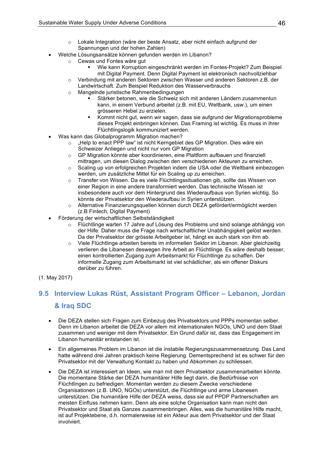- Lokale Integration (wäre der beste Ansatz, aber nicht einfach aufgrund der  $\Omega$ Spannungen und der hohen Zahlen)
- Welche Lösungsansätze können gefunden werden im Libanon?
	- Cewas und Fontes wäre gut  $\cap$ 
		- Wie kann Korruption eingeschränkt werden im Fontes-Projekt? Zum Beispiel mit Digital Payment. Denn Digital Payment ist elektronisch nachvollziehbar
		- Verbindung mit anderen Sektoren zwischen Wasser und anderen Sektoren z.B. der  $\circ$ Landwirtschaft. Zum Beispiel Reduktion des Wasserverbrauchs
		- Mangelnde juristische Rahmenbedingungen  $\circ$ 
			- Stärker betonen, wie die Schweiz sich mit anderen Ländern zusammentun kann, in einem Verbund arbeitet (z.B. mit EU, Weltbank, usw.), um einen grösseren Hebel zu erzielen.
			- Kommt nicht aut, wenn wir sagen, dass sie aufgrund der Migrationsprobleme dieses Projekt einbringen können. Das Framing ist wichtig. Es muss in ihrer Flüchtlingslogik kommuniziert werden.
- Was kann das Globalprogramm Migration machen?
	- "Help to enact PPP law" ist nicht Kerngebiet des GP Migration. Dies wäre ein  $\cap$ Schweizer Anliegen und nicht nur vom GP Migration
	- o GP Migration könnte aber koordinieren, eine Plattform aufbauen und finanziell mittragen, um diesen Dialog zwischen den verschiedenen Akteuren zu erreichen.
	- Scaling up von erfolgreichen Projekten indem die USA oder die Weltbank einbezogen  $\circ$ werden, um zusätzliche Mittel für ein Scaling up zu erreichen.
	- Transfer von Wissen. Da es viele Flüchtlingssituationen gib, sollte das Wissen von  $\circ$ einer Region in eine andere transformiert werden. Das technische Wissen ist insbesondere auch vor dem Hintergrund des Wiederaufbaus von Syrien wichtig. So könnte der Privatsektor den Wiederaufbau in Syrien unterstützen.
	- o Alternative Finanzierungsquellen können durch DEZA gefördert/ermöglicht werden (z.B Fintech, Digital Payment)
- Förderung der wirtschaftlichen Selbstständigkeit
	- Flüchtlinge warten 17 Jahre auf Lösung des Problems und sind solange abhängig von  $\Omega$ der Hilfe. Daher muss die Frage nach wirtschaftlicher Unabhängigkeit gelöst werden. Da der Privatsektor der grösste Arbeitgeber ist, hängt es auch stark von ihm ab.
	- Viele Flüchtlinge arbeiten bereits im informellen Sektor im Libanon. Aber gleichzeitig  $\circ$ verlieren die Libanesen deswegen ihre Arbeit an Flüchtlinge. Es wäre deshalb besser, einen kontrollierten Zugang zum Arbeitsmarkt für Flüchtlinge zu schaffen. Der informelle Zugang zum Arbeitsmarkt ist viel schädlicher, als ein offener Diskurs darüber zu führen.
- (1. May 2017)

## 9.5 Interview Lukas Rüst, Assistant Program Officer - Lebanon, Jordan & Iraq SDC

- Die DEZA stellen sich Fragen zum Einbezug des Privatsektors und PPPs momentan selber.  $\bullet$ Denn im Libanon arbeitet die DEZA vor allem mit internationalen NGOs, UNO und dem Staat zusammen und weniger mit dem Privatsektor. Ein Grund dafür ist, dass das Engagement im Libanon humanitär entstanden ist.
- Ein allgemeines Problem im Libanon ist die instabile Regierungszusammensetzung. Das Land hatte während drei Jahren praktisch keine Regierung. Dementsprechend ist es schwer für den Privatsektor mit der Verwaltung Kontakt zu haben und Abkommen zu schliessen.
- Die DEZA ist interessiert an Ideen, wie man mit dem Privatsektor zusammenarbeiten könnte. Die momentane Stärke der DEZA humanitärer Hilfe liegt darin, die Bedürfnisse von Flüchtlingen zu befriedigen. Momentan werden zu diesem Zwecke verschiedene Organisationen (z.B. UNO, NGOs) unterstützt, die Flüchtlinge und arme Libanesen unterstützen. Die humanitäre Hilfe der DEZA weiss, dass sie auf PPDP Partnerschaften am meisten Einfluss nehmen kann. Denn als eine solche Organisation kann man nicht den Privatsektor und Staat als Ganzes zusammenbringen. Alles, was die humanitäre Hilfe macht. ist auf Projektebene, d.h. normalerweise ist ein Akteur aus dem Privatsektor und der Staat involviert.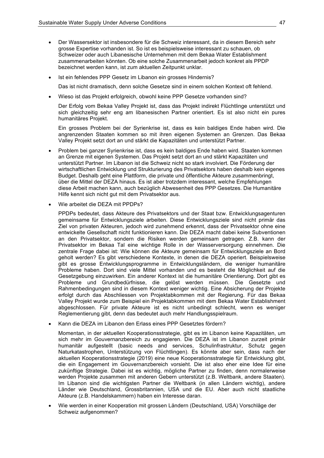- Der Wassersektor ist insbesondere für die Schweiz interessant, da in diesem Bereich sehr grosse Expertise vorhanden ist. So ist es beispielsweise interessant zu schauen, ob Schweizer oder auch Libanesische Unternehmen mit dem Bekaa Water Establishment zusammenarbeiten könnten. Ob eine solche Zusammenarbeit jedoch konkret als PPDP bezeichnet werden kann, ist zum aktuellen Zeitpunkt unklar.
- Ist ein fehlendes PPP Gesetz im Libanon ein grosses Hindernis?  $\bullet$

Das ist nicht dramatisch, denn solche Gesetze sind in einem solchen Kontext oft fehlend.

Wieso ist das Projekt erfolgreich, obwohl keine PPP Gesetze vorhanden sind?

Der Erfolg vom Bekaa Valley Projekt ist, dass das Projekt indirekt Flüchtlinge unterstützt und sich gleichzeitig sehr eng am libanesischen Partner orientiert. Es ist also nicht ein pures humanitäres Proiekt.

Ein grosses Problem bei der Syrienkrise ist, dass es kein baldiges Ende haben wird. Die angrenzenden Staaten kommen so mit ihren eigenen Systemen an Grenzen. Das Bekaa Valley Proiekt setzt dort an und stärkt die Kapazitäten und unterstützt Partner.

- Problem bei ganzer Syrienkrise ist, dass es kein baldiges Ende haben wird. Staaten kommen  $\bullet$ an Grenze mit eigenen Systemen. Das Projekt setzt dort an und stärkt Kapazitäten und unterstützt Partner. Im Libanon ist die Schweiz nicht so stark involviert. Die Förderung der wirtschaftlichen Entwicklung und Strukturierung des Privatsektors haben deshalb kein eigenes Budget. Deshalb geht eine Plattform, die private und öffentliche Akteure zusammenbringt, über die Mittel der DEZA hinaus. Es ist aber trotzdem interessant, welche Empfehlungen diese Arbeit machen kann, auch bezüglich Abwesenheit des PPP Gesetzes. Die Humanitäre Hilfe kennt sich nicht gut mit dem Privatsektor aus.
- Wie arbeitet die DEZA mit PPDPs?  $\bullet$

PPDPs bedeutet, dass Akteure des Privatsektors und der Staat bzw. Entwicklungsagenturen gemeinsame für Entwicklungsziele arbeiten. Diese Entwicklungsziele sind nicht primär das Ziel von privaten Akteuren, jedoch wird zunehmend erkennt, dass der Privatsektor ohne eine entwickelte Gesellschaft nicht funktionieren kann. Die DEZA macht dabei keine Subventionen an den Privatsektor, sondern die Risiken werden gemeinsam getragen. Z.B. kann der Privatsektor im Bekaa Tal eine wichtige Rolle in der Wasserversorgung einnehmen. Die zentrale Frage dabei ist: Wie können die Akteure gemeinsam für Entwicklungsziele an Bord geholt werden? Es gibt verschiedene Kontexte, in denen die DEZA operiert. Beispielsweise gibt es grosse Entwicklungsprogramme in Entwicklungsländern, die weniger humanitäre Probleme haben. Dort sind viele Mittel vorhanden und es besteht die Möglichkeit auf die Gesetzgebung einzuwirken. Ein anderer Kontext ist die humanitäre Orientierung. Dort gibt es Probleme und Grundbedürfnisse, die gelöst werden müssen. Die Gesetzte und Rahmenbedingungen sind in diesem Kontext weniger wichtig. Eine Absicherung der Projekte erfolgt durch das Abschliessen von Projektabkommen mit der Regierung. Für das Bekaa Valley Projekt wurde zum Beispiel ein Projektabkommen mit dem Bekaa Water Establishment abgeschlossen. Für private Akteure ist es nicht unbedingt schlecht, wenn es weniger Reglementierung gibt, denn das bedeutet auch mehr Handlungsspielraum.

Kann die DEZA im Libanon den Erlass eines PPP Gesetztes fördern?

Momentan, in der aktuellen Kooperationsstrategie, gibt es im Libanon keine Kapazitäten, um sich mehr im Gouvernanzbereich zu engagieren. Die DEZA ist im Libanon zurzeit primär humanitär aufgestellt (basic needs and services, Schulinfrastruktur, Schutz gegen Naturkatastrophen, Unterstützung von Flüchtlingen). Es könnte aber sein, dass nach der aktuellen Kooperationsstrategie (2019) eine neue Kooperationsstrategie für Entwicklung gibt, die ein Engagement im Gouvernanzbereich vorsieht. Die ist also eher eine Idee für eine zukünftige Strategie. Dabei ist es wichtig, mögliche Partner zu finden, denn normalerweise werden Projekte zusammen mit anderen Gebern unterstützt (z.B. Weltbank, andere Staaten). Im Libanon sind die wichtigsten Partner die Weltbank (in allen Ländern wichtig), andere Länder wie Deutschland, Grossbritannien, USA und die EU. Aber auch nicht staatliche Akteure (z.B. Handelskammern) haben ein Interesse daran.

Wie werden in einer Kooperation mit grossen Ländern (Deutschland, USA) Vorschläge der Schweiz aufgenommen?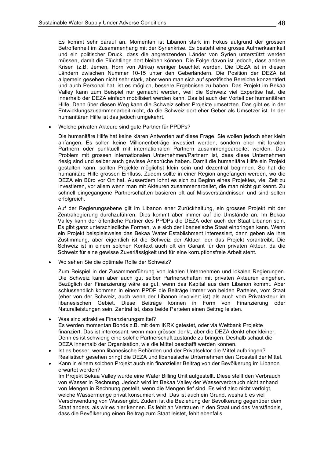Es kommt sehr darauf an. Momentan ist Libanon stark im Fokus aufgrund der grossen Betroffenheit im Zusammenhang mit der Syrienkrise. Es besteht eine grosse Aufmerksamkeit und ein politischer Druck, dass die angrenzenden Länder von Syrien unterstützt werden müssen, damit die Flüchtlinge dort bleiben können. Die Folge davon ist jedoch, dass andere Krisen (z.B. Jemen, Horn von Afrika) weniger beachtet werden. Die DEZA ist in diesen Ländern zwischen Nummer 10-15 unter den Geberländern. Die Position der DEZA ist allgemein gesehen nicht sehr stark, aber wenn man sich auf spezifische Bereiche konzentriert und auch Personal hat, ist es möglich, bessere Ergebnisse zu haben. Das Projekt im Bekaa Valley kann zum Beispiel nur gemacht werden, weil die Schweiz viel Expertise hat, die innerhalb der DEZA einfach mobilisiert werden kann. Das ist auch der Vorteil der humanitären Hilfe. Denn über diesen Weg kann die Schweiz selber Projekte umsetzten. Das gibt es in der Entwicklungszusammenarbeit nicht, da die Schweiz dort eher Geber als Umsetzer ist. In der humanitären Hilfe ist das iedoch umgekehrt.

Welche privaten Akteure sind gute Partner für PPDPs?

Die humanitäre Hilfe hat keine klaren Antworten auf diese Frage. Sie wollen jedoch eher klein anfangen. Es sollen keine Millionenbeträge investiert werden, sondern eher mit lokalen Partnern oder punktuell mit internationalen Partnern zusammengearbeitet werden. Das Problem mit grossen internationalen Unternehmen/Partnern ist, dass diese Unternehmen riesig sind und selber auch gewisse Ansprüche haben. Damit die humanitäre Hilfe ein Projekt gestalten kann, sollten Projekte möglichst klein sein und dezentral beginnen. So hat die humanitäre Hilfe grossen Einfluss. Zudem sollte in einer Region angefangen werden, wo die DEZA ein Büro vor Ort hat. Ausserdem lohnt es sich zu Beginn eines Projektes, viel Zeit zu investieren, vor allem wenn man mit Akteuren zusammenarbeitet, die man nicht gut kennt. Zu schnell eingegangene Partnerschaften basieren oft auf Missverständnissen und sind selten erfolgreich.

Auf der Regierungsebene gilt im Libanon eher Zurückhaltung, ein grosses Projekt mit der Zentralregierung durchzuführen. Dies kommt aber immer auf die Umstände an. Im Bekaa Valley kann der öffentliche Partner des PPDPs die DEZA oder auch der Staat Libanon sein. Es gibt ganz unterschiedliche Formen, wie sich der libanesische Staat einbringen kann. Wenn ein Projekt beispielsweise das Bekaa Water Establishment interessiert, dann geben sie ihre Zustimmung, aber eigentlich ist die Schweiz der Aktuer, der das Projekt vorantreibt. Die Schweiz ist in einem solchen Kontext auch oft ein Garant für den privaten Akteur, da die Schweiz für eine gewisse Zuverlässigkeit und für eine korruptionsfreie Arbeit steht.

Wo sehen Sie die optimale Rolle der Schweiz?

Zum Beispiel in der Zusammenführung von lokalen Unternehmen und lokalen Regierungen. Die Schweiz kann aber auch gut selber Partnerschaften mit privaten Akteuren eingehen. Bezüglich der Finanzierung wäre es gut, wenn das Kapital aus dem Libanon kommt. Aber schlussendlich kommen in einem PPDP die Beiträge immer von beiden Parteien, vom Staat (eher von der Schweiz, auch wenn der Libanon involviert ist) als auch vom Privatakteur im libanesischen Gebiet. Diese Beiträge können in Form von Finanzierung oder Naturalleistungen sein. Zentral ist, dass beide Parteien einen Beitrag leisten.

- Was sind attraktive Finanzierungsmittel? Es werden momentan Bonds z.B. mit dem IKRK getestet, oder via Weltbank Projekte finanziert. Das ist interessant, wenn man grösser denkt, aber die DEZA denkt eher kleiner. Denn es ist schwierig eine solche Partnerschaft zustande zu bringen. Deshalb schaut die DEZA innerhalb der Organisation, wie die Mittel beschafft werden können.
- Ist es besser, wenn libanesische Behörden und der Privatsektor die Mittel aufbringen? Realistisch gesehen bringt die DEZA und libanesische Unternehmen den Grossteil der Mittel.
- Kann in einem solchen Projekt auch ein finanzieller Beitrag von der Bevölkerung im Libanon erwartet werden? Im Projekt Bekaa Valley wurde eine Water Billing Unit aufgestellt. Diese stellt den Verbrauch von Wasser in Rechnung. Jedoch wird im Bekaa Valley der Wasserverbrauch nicht anhand von Mengen in Rechnung gestellt, wenn die Mengen tief sind. Es wird also nicht verfolgt, welche Wassermenge privat konsumiert wird. Das ist auch ein Grund, weshalb es viel Verschwendung von Wasser gibt. Zudem ist die Beziehung der Bevölkerung gegenüber dem Staat anders, als wir es hier kennen. Es fehlt an Vertrauen in den Staat und das Verständnis, dass die Bevölkerung einen Beitrag zum Staat leistet, fehlt ebenfalls.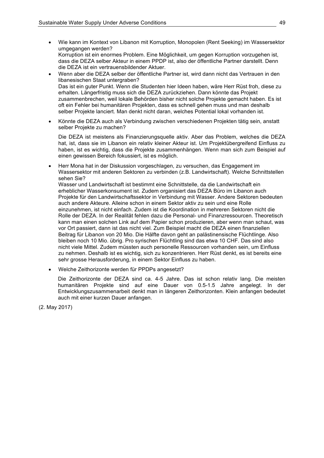- Wie kann im Kontext von Libanon mit Korruption, Monopolen (Rent Seeking) im Wassersektor  $\bullet$ umgegangen werden? Korruption ist ein enormes Problem. Eine Möglichkeit, um gegen Korruption vorzugehen ist, dass die DEZA selber Akteur in einem PPDP ist, also der öffentliche Partner darstellt. Denn die DEZA ist ein vertrauensbildender Aktuer.
- Wenn aber die DEZA selber der öffentliche Partner ist, wird dann nicht das Vertrauen in den libanesischen Staat untergraben? Das ist ein guter Punkt. Wenn die Studenten hier Ideen haben, wäre Herr Rüst froh, diese zu erhalten. Längerfristig muss sich die DEZA zurückziehen. Dann könnte das Projekt zusammenbrechen, weil lokale Behörden bisher nicht solche Projekte gemacht haben. Es ist oft ein Fehler bei humanitären Projekten, dass es schnell gehen muss und man deshalb selber Projekte lanciert. Man denkt nicht daran, welches Potential lokal vorhanden ist.
- Könnte die DEZA auch als Verbindung zwischen verschiedenen Projekten tätig sein, anstatt selber Projekte zu machen?

Die DEZA ist meistens als Finanzierungsquelle aktiv. Aber das Problem, welches die DEZA hat, ist, dass sie im Libanon ein relativ kleiner Akteur ist. Um Projektübergreifend Einfluss zu haben, ist es wichtig, dass die Projekte zusammenhängen. Wenn man sich zum Beispiel auf einen gewissen Bereich fokussiert, ist es möglich.

Herr Mona hat in der Diskussion vorgeschlagen, zu versuchen, das Engagement im Wassersektor mit anderen Sektoren zu verbinden (z.B. Landwirtschaft). Welche Schnittstellen sehen Sie?

Wasser und Landwirtschaft ist bestimmt eine Schnittstelle, da die Landwirtschaft ein erheblicher Wasserkonsument ist. Zudem organisiert das DEZA Büro im Libanon auch Projekte für den Landwirtschaftssektor in Verbindung mit Wasser. Andere Sektoren bedeuten auch andere Akteure. Alleine schon in einem Sektor aktiv zu sein und eine Rolle einzunehmen, ist nicht einfach. Zudem ist die Koordination in mehreren Sektoren nicht die Rolle der DEZA. In der Realität fehlen dazu die Personal- und Finanzressourcen. Theoretisch kann man einen solchen Link auf dem Papier schon produzieren, aber wenn man schaut, was vor Ort passiert, dann ist das nicht viel. Zum Beispiel macht die DEZA einen finanziellen Beitrag für Libanon von 20 Mio. Die Hälfte davon geht an palästinensische Flüchtlinge. Also bleiben noch 10 Mio. übrig. Pro syrischen Flüchtling sind das etwa 10 CHF. Das sind also nicht viele Mittel. Zudem müssten auch personelle Ressourcen vorhanden sein, um Einfluss zu nehmen. Deshalb ist es wichtig, sich zu konzentrieren. Herr Rüst denkt, es ist bereits eine sehr grosse Herausforderung, in einem Sektor Einfluss zu haben.

Welche Zeithorizonte werden für PPDPs angesetzt?

Die Zeithorizonte der DEZA sind ca. 4-5 Jahre. Das ist schon relativ lang. Die meisten humanitären Projekte sind auf eine Dauer von 0.5-1.5 Jahre angelegt. In der Entwicklungszusammenarbeit denkt man in längeren Zeithorizonten. Klein anfangen bedeutet auch mit einer kurzen Dauer anfangen.

(2. May 2017)